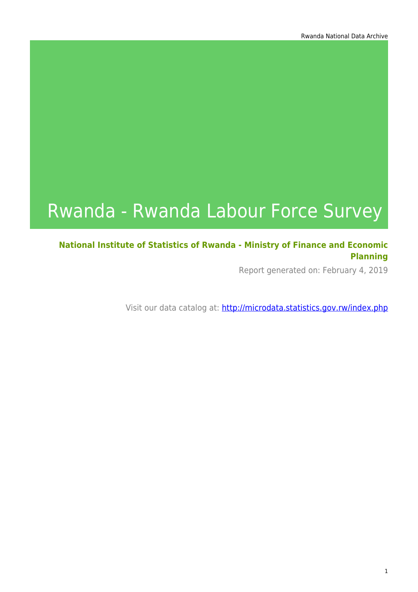# Rwanda - Rwanda Labour Force Survey

### **National Institute of Statistics of Rwanda - Ministry of Finance and Economic Planning**

Report generated on: February 4, 2019

Visit our data catalog at: http://microdata.statistics.gov.rw/index.php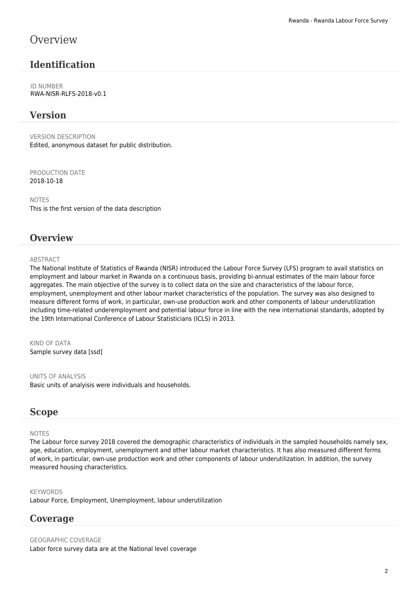### **Overview**

### **Identification**

ID NUMBER RWA-NISR-RLFS-2018-v0.1

### **Version**

VERSION DESCRIPTION Edited, anonymous dataset for public distribution.

PRODUCTION DATE 2018-10-18

NOTES This is the first version of the data description

### **Overview**

### **ABSTRACT**

The National Institute of Statistics of Rwanda (NISR) introduced the Labour Force Survey (LFS) program to avail statistics on employment and labour market in Rwanda on a continuous basis, providing bi-annual estimates of the main labour force aggregates. The main objective of the survey is to collect data on the size and characteristics of the labour force, employment, unemployment and other labour market characteristics of the population. The survey was also designed to measure different forms of work, in particular, own-use production work and other components of labour underutilization including time-related underemployment and potential labour force in line with the new international standards, adopted by the 19th International Conference of Labour Statisticians (ICLS) in 2013.

KIND OF DATA Sample survey data [ssd]

UNITS OF ANALYSIS Basic units of analyisis were individuals and households.

### **Scope**

### NOTES

The Labour force survey 2018 covered the demographic characteristics of individuals in the sampled households namely sex, age, education, employment, unemployment and other labour market characteristics. It has also measured different forms of work, in particular, own-use production work and other components of labour underutilization. In addition, the survey measured housing characteristics.

KEYWORDS Labour Force, Employment, Unemployment, labour underutilization

### **Coverage**

GEOGRAPHIC COVERAGE Labor force survey data are at the National level coverage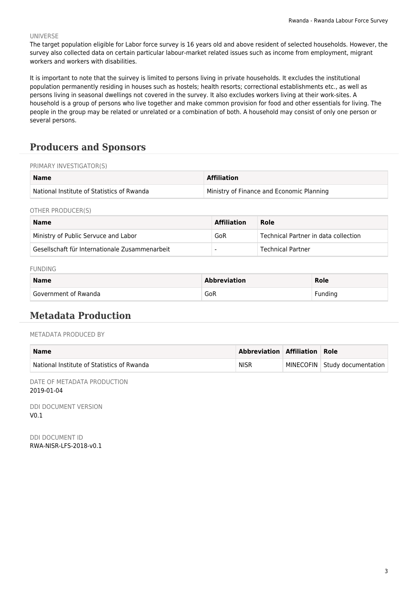#### UNIVERSE

The target population eligible for Labor force survey is 16 years old and above resident of selected households. However, the survey also collected data on certain particular labour-market related issues such as income from employment, migrant workers and workers with disabilities.

It is important to note that the suirvey is limited to persons living in private households. It excludes the institutional population permanently residing in houses such as hostels; health resorts; correctional establishments etc., as well as persons living in seasonal dwellings not covered in the survey. It also excludes workers living at their work-sites. A household is a group of persons who live together and make common provision for food and other essentials for living. The people in the group may be related or unrelated or a combination of both. A household may consist of only one person or several persons.

### **Producers and Sponsors**

#### PRIMARY INVESTIGATOR(S)

| <b>Name</b>                                | <b>Affiliation</b>                        |
|--------------------------------------------|-------------------------------------------|
| National Institute of Statistics of Rwanda | Ministry of Finance and Economic Planning |

OTHER PRODUCER(S)

| <b>Name</b>                                    | <b>Affiliation</b> | Role                                 |
|------------------------------------------------|--------------------|--------------------------------------|
| Ministry of Public Servuce and Labor           | GoR                | Technical Partner in data collection |
| Gesellschaft für Internationale Zusammenarbeit |                    | Technical Partner                    |

#### FUNDING

| <b>Name</b>          | <b>Abbreviation</b> | Role    |  |
|----------------------|---------------------|---------|--|
| Government of Rwanda | GoR                 | Fundina |  |

### **Metadata Production**

#### METADATA PRODUCED BY

| Name                                       | Abbreviation Affiliation Role |                                 |
|--------------------------------------------|-------------------------------|---------------------------------|
| National Institute of Statistics of Rwanda | <b>NISR</b>                   | MINECOFIN   Study documentation |

DATE OF METADATA PRODUCTION 2019-01-04

DDI DOCUMENT VERSION  $V<sub>0</sub>$  1

DDI DOCUMENT ID RWA-NISR-LFS-2018-v0.1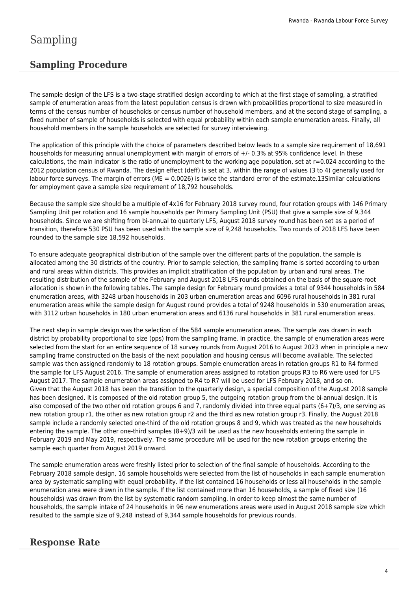# Sampling

### **Sampling Procedure**

The sample design of the LFS is a two-stage stratified design according to which at the first stage of sampling, a stratified sample of enumeration areas from the latest population census is drawn with probabilities proportional to size measured in terms of the census number of households or census number of household members, and at the second stage of sampling, a fixed number of sample of households is selected with equal probability within each sample enumeration areas. Finally, all household members in the sample households are selected for survey interviewing.

The application of this principle with the choice of parameters described below leads to a sample size requirement of 18,691 households for measuring annual unemployment with margin of errors of +/- 0.3% at 95% confidence level. In these calculations, the main indicator is the ratio of unemployment to the working age population, set at  $r=0.024$  according to the 2012 population census of Rwanda. The design effect (deff) is set at 3, within the range of values (3 to 4) generally used for labour force surveys. The margin of errors ( $ME = 0.0026$ ) is twice the standard error of the estimate.13Similar calculations for employment gave a sample size requirement of 18,792 households.

Because the sample size should be a multiple of 4x16 for February 2018 survey round, four rotation groups with 146 Primary Sampling Unit per rotation and 16 sample households per Primary Sampling Unit (PSU) that give a sample size of 9,344 households. Since we are shifting from bi-annual to quarterly LFS, August 2018 survey round has been set as a period of transition, therefore 530 PSU has been used with the sample size of 9,248 households. Two rounds of 2018 LFS have been rounded to the sample size 18,592 households.

To ensure adequate geographical distribution of the sample over the different parts of the population, the sample is allocated among the 30 districts of the country. Prior to sample selection, the sampling frame is sorted according to urban and rural areas within districts. This provides an implicit stratification of the population by urban and rural areas. The resulting distribution of the sample of the February and August 2018 LFS rounds obtained on the basis of the square-root allocation is shown in the following tables. The sample design for February round provides a total of 9344 households in 584 enumeration areas, with 3248 urban households in 203 urban enumeration areas and 6096 rural households in 381 rural enumeration areas while the sample design for August round provides a total of 9248 households in 530 enumeration areas, with 3112 urban households in 180 urban enumeration areas and 6136 rural households in 381 rural enumeration areas.

The next step in sample design was the selection of the 584 sample enumeration areas. The sample was drawn in each district by probability proportional to size (pps) from the sampling frame. In practice, the sample of enumeration areas were selected from the start for an entire sequence of 18 survey rounds from August 2016 to August 2023 when in principle a new sampling frame constructed on the basis of the next population and housing census will become available. The selected sample was then assigned randomly to 18 rotation groups. Sample enumeration areas in rotation groups R1 to R4 formed the sample for LFS August 2016. The sample of enumeration areas assigned to rotation groups R3 to R6 were used for LFS August 2017. The sample enumeration areas assigned to R4 to R7 will be used for LFS February 2018, and so on. Given that the August 2018 has been the transition to the quarterly design, a special composition of the August 2018 sample has been designed. It is composed of the old rotation group 5, the outgoing rotation group from the bi-annual design. It is also composed of the two other old rotation groups 6 and 7, randomly divided into three equal parts (6+7)/3, one serving as new rotation group r1, the other as new rotation group r2 and the third as new rotation group r3. Finally, the August 2018 sample include a randomly selected one-third of the old rotation groups 8 and 9, which was treated as the new households entering the sample. The other one-third samples (8+9)/3 will be used as the new households entering the sample in February 2019 and May 2019, respectively. The same procedure will be used for the new rotation groups entering the sample each quarter from August 2019 onward.

The sample enumeration areas were freshly listed prior to selection of the final sample of households. According to the February 2018 sample design, 16 sample households were selected from the list of households in each sample enumeration area by systematic sampling with equal probability. If the list contained 16 households or less all households in the sample enumeration area were drawn in the sample. If the list contained more than 16 households, a sample of fixed size (16 households) was drawn from the list by systematic random sampling. In order to keep almost the same number of households, the sample intake of 24 households in 96 new enumerations areas were used in August 2018 sample size which resulted to the sample size of 9,248 instead of 9,344 sample households for previous rounds.

### **Response Rate**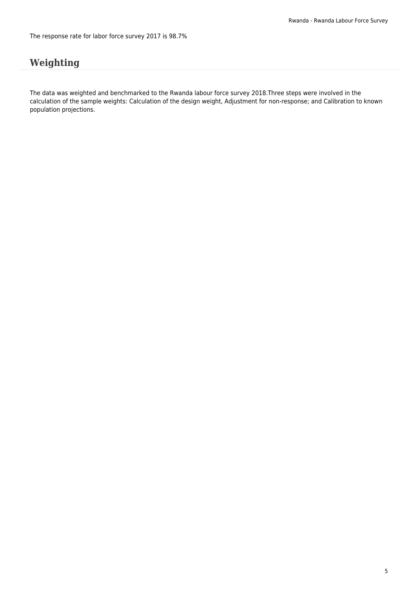# **Weighting**

The data was weighted and benchmarked to the Rwanda labour force survey 2018.Three steps were involved in the calculation of the sample weights: Calculation of the design weight, Adjustment for non-response; and Calibration to known population projections.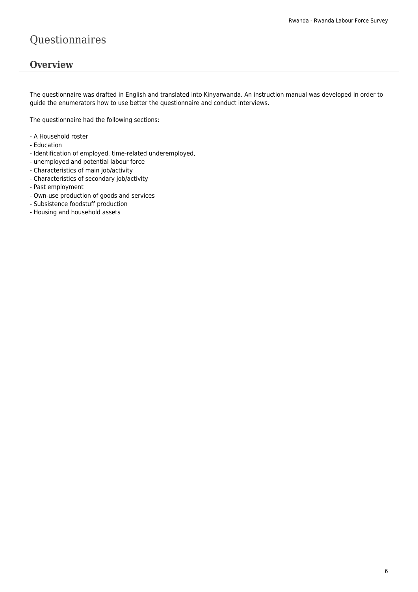# Questionnaires

### **Overview**

The questionnaire was drafted in English and translated into Kinyarwanda. An instruction manual was developed in order to guide the enumerators how to use better the questionnaire and conduct interviews.

The questionnaire had the following sections:

- A Household roster
- Education
- Identification of employed, time-related underemployed,
- unemployed and potential labour force
- Characteristics of main job/activity
- Characteristics of secondary job/activity
- Past employment
- Own-use production of goods and services
- Subsistence foodstuff production
- Housing and household assets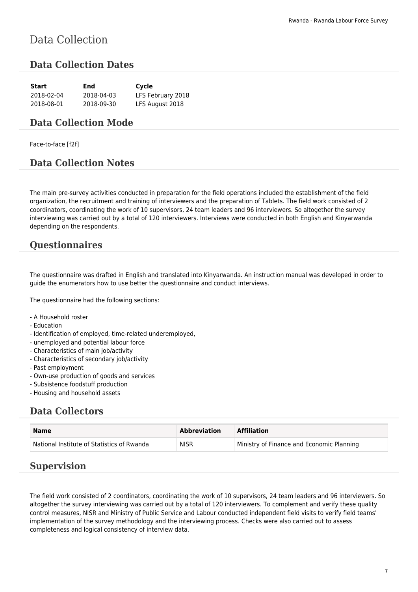# Data Collection

### **Data Collection Dates**

| Start      | End        | Cycle             |
|------------|------------|-------------------|
| 2018-02-04 | 2018-04-03 | LFS February 2018 |
| 2018-08-01 | 2018-09-30 | LFS August 2018   |

### **Data Collection Mode**

Face-to-face [f2f]

### **Data Collection Notes**

The main pre-survey activities conducted in preparation for the field operations included the establishment of the field organization, the recruitment and training of interviewers and the preparation of Tablets. The field work consisted of 2 coordinators, coordinating the work of 10 supervisors, 24 team leaders and 96 interviewers. So altogether the survey interviewing was carried out by a total of 120 interviewers. Interviews were conducted in both English and Kinyarwanda depending on the respondents.

### **Questionnaires**

The questionnaire was drafted in English and translated into Kinyarwanda. An instruction manual was developed in order to guide the enumerators how to use better the questionnaire and conduct interviews.

The questionnaire had the following sections:

- A Household roster
- Education
- Identification of employed, time-related underemployed,
- unemployed and potential labour force
- Characteristics of main job/activity
- Characteristics of secondary job/activity
- Past employment
- Own-use production of goods and services
- Subsistence foodstuff production
- Housing and household assets

### **Data Collectors**

| <b>Name</b>                                | <b>Abbreviation</b> | <b>Affiliation</b>                        |
|--------------------------------------------|---------------------|-------------------------------------------|
| National Institute of Statistics of Rwanda | <b>NISR</b>         | Ministry of Finance and Economic Planning |

### **Supervision**

The field work consisted of 2 coordinators, coordinating the work of 10 supervisors, 24 team leaders and 96 interviewers. So altogether the survey interviewing was carried out by a total of 120 interviewers. To complement and verify these quality control measures, NISR and Ministry of Public Service and Labour conducted independent field visits to verify field teams' implementation of the survey methodology and the interviewing process. Checks were also carried out to assess completeness and logical consistency of interview data.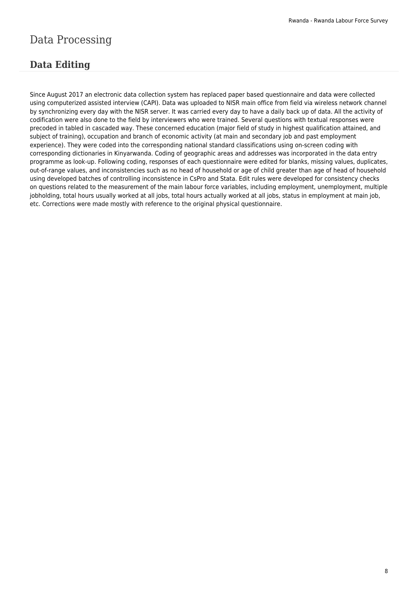# Data Processing

# **Data Editing**

Since August 2017 an electronic data collection system has replaced paper based questionnaire and data were collected using computerized assisted interview (CAPI). Data was uploaded to NISR main office from field via wireless network channel by synchronizing every day with the NISR server. It was carried every day to have a daily back up of data. All the activity of codification were also done to the field by interviewers who were trained. Several questions with textual responses were precoded in tabled in cascaded way. These concerned education (major field of study in highest qualification attained, and subject of training), occupation and branch of economic activity (at main and secondary job and past employment experience). They were coded into the corresponding national standard classifications using on-screen coding with corresponding dictionaries in Kinyarwanda. Coding of geographic areas and addresses was incorporated in the data entry programme as look-up. Following coding, responses of each questionnaire were edited for blanks, missing values, duplicates, out-of-range values, and inconsistencies such as no head of household or age of child greater than age of head of household using developed batches of controlling inconsistence in CsPro and Stata. Edit rules were developed for consistency checks on questions related to the measurement of the main labour force variables, including employment, unemployment, multiple jobholding, total hours usually worked at all jobs, total hours actually worked at all jobs, status in employment at main job, etc. Corrections were made mostly with reference to the original physical questionnaire.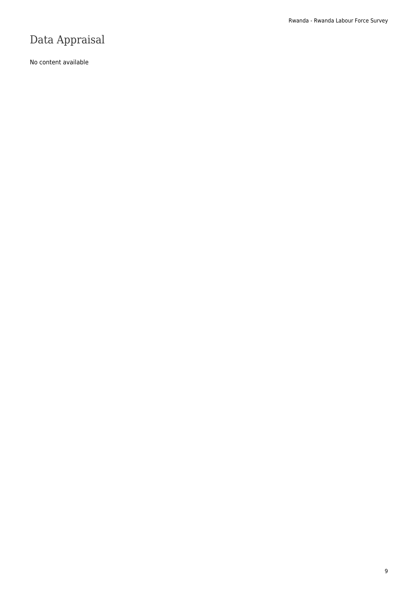# Data Appraisal

No content available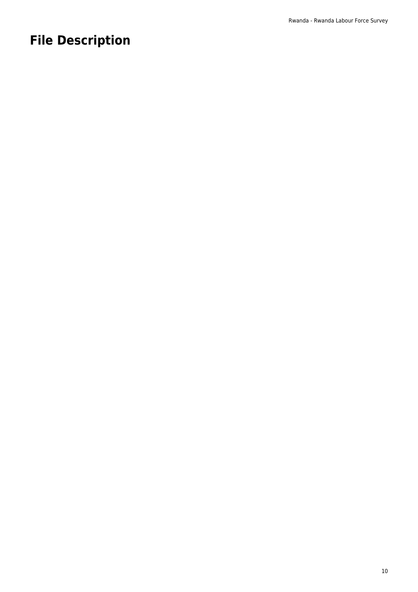# **File Description**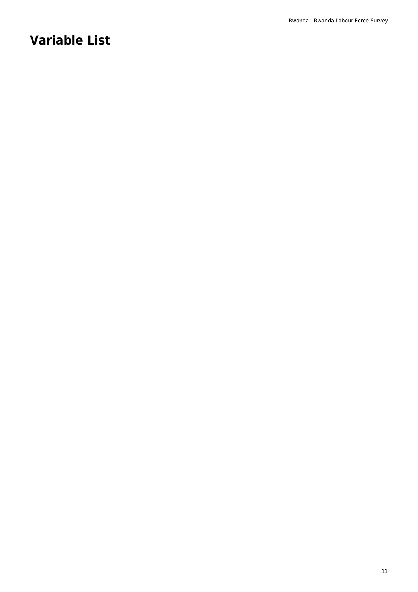# **Variable List**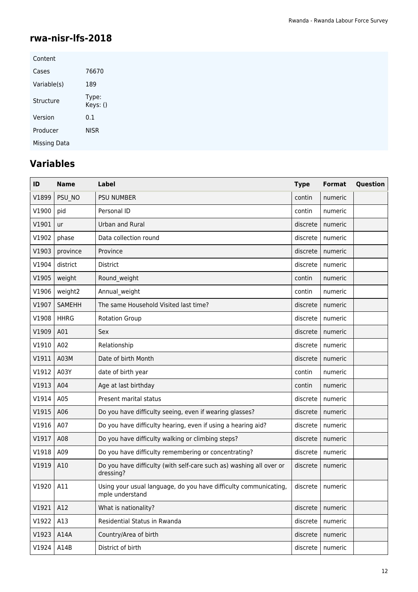### **rwa-nisr-lfs-2018**

| Content             |                   |
|---------------------|-------------------|
| Cases               | 76670             |
| Variable(s)         | 189               |
| Structure           | Type:<br>Keys: () |
| Version             | 0.1               |
| Producer            | <b>NISR</b>       |
| <b>Missing Data</b> |                   |

# **Variables**

| ID    | <b>Name</b>   | Label                                                                               | <b>Type</b> | <b>Format</b> | Question |
|-------|---------------|-------------------------------------------------------------------------------------|-------------|---------------|----------|
| V1899 | PSU NO        | <b>PSU NUMBER</b>                                                                   | contin      | numeric       |          |
| V1900 | pid           | Personal ID                                                                         | contin      | numeric       |          |
| V1901 | ur            | <b>Urban and Rural</b>                                                              | discrete    | numeric       |          |
| V1902 | phase         | Data collection round                                                               | discrete    | numeric       |          |
| V1903 | province      | Province                                                                            | discrete    | numeric       |          |
| V1904 | district      | <b>District</b>                                                                     | discrete    | numeric       |          |
| V1905 | weight        | Round weight                                                                        | contin      | numeric       |          |
| V1906 | weight2       | Annual weight                                                                       | contin      | numeric       |          |
| V1907 | <b>SAMEHH</b> | The same Household Visited last time?                                               | discrete    | numeric       |          |
| V1908 | <b>HHRG</b>   | <b>Rotation Group</b>                                                               | discrete    | numeric       |          |
| V1909 | A01           | Sex                                                                                 | discrete    | numeric       |          |
| V1910 | A02           | Relationship                                                                        | discrete    | numeric       |          |
| V1911 | A03M          | Date of birth Month                                                                 | discrete    | numeric       |          |
| V1912 | A03Y          | date of birth year                                                                  | contin      | numeric       |          |
| V1913 | A04           | Age at last birthday                                                                | contin      | numeric       |          |
| V1914 | A05           | Present marital status                                                              | discrete    | numeric       |          |
| V1915 | A06           | Do you have difficulty seeing, even if wearing glasses?                             | discrete    | numeric       |          |
| V1916 | A07           | Do you have difficulty hearing, even if using a hearing aid?                        | discrete    | numeric       |          |
| V1917 | A08           | Do you have difficulty walking or climbing steps?                                   | discrete    | numeric       |          |
| V1918 | A09           | Do you have difficulty remembering or concentrating?                                | discrete    | numeric       |          |
| V1919 | A10           | Do you have difficulty (with self-care such as) washing all over or<br>dressing?    | discrete    | numeric       |          |
| V1920 | A11           | Using your usual language, do you have difficulty communicating,<br>mple understand | discrete    | numeric       |          |
| V1921 | A12           | What is nationality?                                                                | discrete    | numeric       |          |
| V1922 | A13           | Residential Status in Rwanda                                                        | discrete    | numeric       |          |
| V1923 | A14A          | Country/Area of birth                                                               | discrete    | numeric       |          |
| V1924 | A14B          | District of birth                                                                   | discrete    | numeric       |          |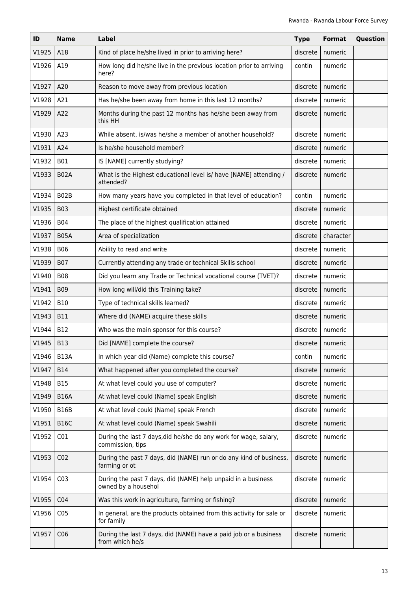| ID    | <b>Name</b>     | Label                                                                                | <b>Type</b> | <b>Format</b> | Question |
|-------|-----------------|--------------------------------------------------------------------------------------|-------------|---------------|----------|
| V1925 | A18             | Kind of place he/she lived in prior to arriving here?                                | discrete    | numeric       |          |
| V1926 | A19             | How long did he/she live in the previous location prior to arriving<br>here?         | contin      | numeric       |          |
| V1927 | A20             | Reason to move away from previous location                                           | discrete    | numeric       |          |
| V1928 | A21             | Has he/she been away from home in this last 12 months?                               | discrete    | numeric       |          |
| V1929 | A22             | Months during the past 12 months has he/she been away from<br>this HH                | discrete    | numeric       |          |
| V1930 | A23             | While absent, is/was he/she a member of another household?                           | discrete    | numeric       |          |
| V1931 | A24             | Is he/she household member?                                                          | discrete    | numeric       |          |
| V1932 | <b>B01</b>      | IS [NAME] currently studying?                                                        | discrete    | numeric       |          |
| V1933 | <b>B02A</b>     | What is the Highest educational level is/ have [NAME] attending /<br>attended?       | discrete    | numeric       |          |
| V1934 | B02B            | How many years have you completed in that level of education?                        | contin      | numeric       |          |
| V1935 | <b>B03</b>      | Highest certificate obtained                                                         | discrete    | numeric       |          |
| V1936 | <b>B04</b>      | The place of the highest qualification attained                                      | discrete    | numeric       |          |
| V1937 | <b>B05A</b>     | Area of specialization                                                               | discrete    | character     |          |
| V1938 | <b>B06</b>      | Ability to read and write                                                            | discrete    | numeric       |          |
| V1939 | <b>B07</b>      | Currently attending any trade or technical Skills school                             | discrete    | numeric       |          |
| V1940 | <b>B08</b>      | Did you learn any Trade or Technical vocational course (TVET)?                       | discrete    | numeric       |          |
| V1941 | <b>B09</b>      | How long will/did this Training take?                                                | discrete    | numeric       |          |
| V1942 | <b>B10</b>      | Type of technical skills learned?                                                    | discrete    | numeric       |          |
| V1943 | <b>B11</b>      | Where did (NAME) acquire these skills                                                | discrete    | numeric       |          |
| V1944 | <b>B12</b>      | Who was the main sponsor for this course?                                            | discrete    | numeric       |          |
| V1945 | <b>B13</b>      | Did [NAME] complete the course?                                                      | discrete    | numeric       |          |
| V1946 | <b>B13A</b>     | In which year did (Name) complete this course?                                       | contin      | numeric       |          |
| V1947 | <b>B14</b>      | What happened after you completed the course?                                        | discrete    | numeric       |          |
| V1948 | <b>B15</b>      | At what level could you use of computer?                                             | discrete    | numeric       |          |
| V1949 | <b>B16A</b>     | At what level could (Name) speak English                                             | discrete    | numeric       |          |
| V1950 | <b>B16B</b>     | At what level could (Name) speak French                                              | discrete    | numeric       |          |
| V1951 | <b>B16C</b>     | At what level could (Name) speak Swahili                                             | discrete    | numeric       |          |
| V1952 | CO <sub>1</sub> | During the last 7 days, did he/she do any work for wage, salary,<br>commission, tips | discrete    | numeric       |          |
| V1953 | CO <sub>2</sub> | During the past 7 days, did (NAME) run or do any kind of business,<br>farming or ot  | discrete    | numeric       |          |
| V1954 | CO <sub>3</sub> | During the past 7 days, did (NAME) help unpaid in a business<br>owned by a househol  | discrete    | numeric       |          |
| V1955 | CO <sub>4</sub> | Was this work in agriculture, farming or fishing?                                    | discrete    | numeric       |          |
| V1956 | CO <sub>5</sub> | In general, are the products obtained from this activity for sale or<br>for family   | discrete    | numeric       |          |
| V1957 | C <sub>06</sub> | During the last 7 days, did (NAME) have a paid job or a business<br>from which he/s  | discrete    | numeric       |          |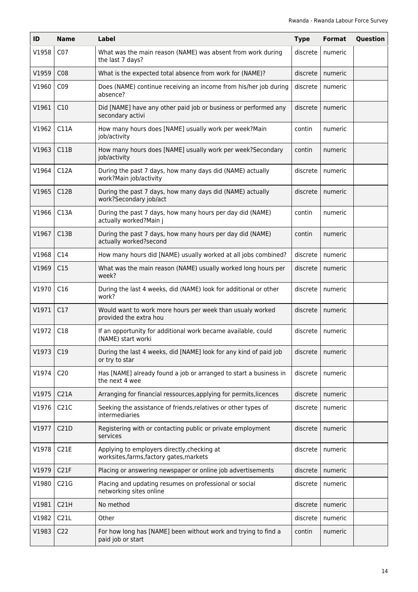| ID    | <b>Name</b>      | Label                                                                                   | <b>Type</b> | Format  | Question |
|-------|------------------|-----------------------------------------------------------------------------------------|-------------|---------|----------|
| V1958 | CO <sub>7</sub>  | What was the main reason (NAME) was absent from work during<br>the last 7 days?         | discrete    | numeric |          |
| V1959 | CO8              | What is the expected total absence from work for (NAME)?                                | discrete    | numeric |          |
| V1960 | CO <sub>9</sub>  | Does (NAME) continue receiving an income from his/her job during<br>absence?            | discrete    | numeric |          |
| V1961 | C10              | Did [NAME] have any other paid job or business or performed any<br>secondary activi     | discrete    | numeric |          |
| V1962 | C11A             | How many hours does [NAME] usually work per week?Main<br>job/activity                   | contin      | numeric |          |
| V1963 | C11B             | How many hours does [NAME] usually work per week?Secondary<br>job/activity              | contin      | numeric |          |
| V1964 | C12A             | During the past 7 days, how many days did (NAME) actually<br>work?Main job/activity     | discrete    | numeric |          |
| V1965 | C12B             | During the past 7 days, how many days did (NAME) actually<br>work?Secondary job/act     | discrete    | numeric |          |
| V1966 | C13A             | During the past 7 days, how many hours per day did (NAME)<br>actually worked?Main j     | contin      | numeric |          |
| V1967 | C13B             | During the past 7 days, how many hours per day did (NAME)<br>actually worked?second     | contin      | numeric |          |
| V1968 | C14              | How many hours did [NAME) usually worked at all jobs combined?                          | discrete    | numeric |          |
| V1969 | C15              | What was the main reason (NAME) usually worked long hours per<br>week?                  | discrete    | numeric |          |
| V1970 | C16              | During the last 4 weeks, did (NAME) look for additional or other<br>work?               | discrete    | numeric |          |
| V1971 | C17              | Would want to work more hours per week than usualy worked<br>provided the extra hou     | discrete    | numeric |          |
| V1972 | C18              | If an opportunity for additional work became available, could<br>(NAME) start worki     | discrete    | numeric |          |
| V1973 | C19              | During the last 4 weeks, did [NAME] look for any kind of paid job<br>or try to star     | discrete    | numeric |          |
| V1974 | C <sub>20</sub>  | Has [NAME] already found a job or arranged to start a business in<br>the next 4 wee     | discrete    | numeric |          |
| V1975 | C <sub>21A</sub> | Arranging for financial ressources, applying for permits, licences                      | discrete    | numeric |          |
| V1976 | C21C             | Seeking the assistance of friends, relatives or other types of<br>intermediaries        | discrete    | numeric |          |
| V1977 | C21D             | Registering with or contacting public or private employment<br>services                 | discrete    | numeric |          |
| V1978 | C21E             | Applying to employers directly, checking at<br>worksites, farms, factory gates, markets | discrete    | numeric |          |
| V1979 | C21F             | Placing or answering newspaper or online job advertisements                             | discrete    | numeric |          |
| V1980 | C21G             | Placing and updating resumes on professional or social<br>networking sites online       | discrete    | numeric |          |
| V1981 | C21H             | No method                                                                               | discrete    | numeric |          |
| V1982 | C21L             | Other                                                                                   | discrete    | numeric |          |
| V1983 | C <sub>22</sub>  | For how long has [NAME] been without work and trying to find a<br>paid job or start     | contin      | numeric |          |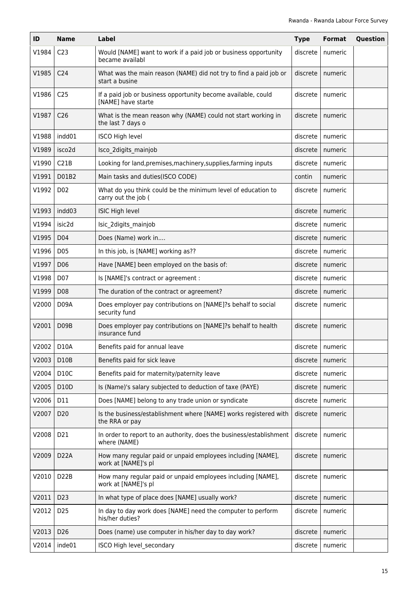| ID     | <b>Name</b>       | Label                                                                               | <b>Type</b> | Format  | Question |
|--------|-------------------|-------------------------------------------------------------------------------------|-------------|---------|----------|
| V1984  | C <sub>23</sub>   | Would [NAME] want to work if a paid job or business opportunity<br>became availabl  | discrete    | numeric |          |
| V1985  | C <sub>24</sub>   | What was the main reason (NAME) did not try to find a paid job or<br>start a busine | discrete    | numeric |          |
| V1986  | C <sub>25</sub>   | If a paid job or business opportunity become available, could<br>[NAME] have starte | discrete    | numeric |          |
| V1987  | C <sub>26</sub>   | What is the mean reason why (NAME) could not start working in<br>the last 7 days o  | discrete    | numeric |          |
| V1988  | indd01            | <b>ISCO High level</b>                                                              | discrete    | numeric |          |
| V1989  | isco2d            | Isco 2digits mainjob                                                                | discrete    | numeric |          |
| V1990  | C21B              | Looking for land, premises, machinery, supplies, farming inputs                     | discrete    | numeric |          |
| V1991  | D01B2             | Main tasks and duties(ISCO CODE)                                                    | contin      | numeric |          |
| V1992  | D <sub>0</sub> 2  | What do you think could be the minimum level of education to<br>carry out the job ( | discrete    | numeric |          |
| V1993  | indd03            | <b>ISIC High level</b>                                                              | discrete    | numeric |          |
| V1994  | isic2d            | Isic 2digits mainjob                                                                | discrete    | numeric |          |
| V1995  | D <sub>04</sub>   | Does (Name) work in                                                                 | discrete    | numeric |          |
| V1996  | D <sub>05</sub>   | In this job, is [NAME] working as??                                                 | discrete    | numeric |          |
| V1997  | D <sub>06</sub>   | Have [NAME] been employed on the basis of:                                          | discrete    | numeric |          |
| V1998  | D07               | Is [NAME]'s contract or agreement :                                                 | discrete    | numeric |          |
| V1999  | D <sub>08</sub>   | The duration of the contract or agreement?                                          | discrete    | numeric |          |
| V2000  | D <sub>09</sub> A | Does employer pay contributions on [NAME]?s behalf to social<br>security fund       | discrete    | numeric |          |
| V2001  | D <sub>09</sub> B | Does employer pay contributions on [NAME]?s behalf to health<br>insurance fund      | discrete    | numeric |          |
| V2002. | D <sub>10</sub> A | Benefits paid for annual leave                                                      | discrete    | numeric |          |
| V2003  | D10B              | Benefits paid for sick leave                                                        | discrete    | numeric |          |
| V2004  | D10C              | Benefits paid for maternity/paternity leave                                         | discrete    | numeric |          |
| V2005  | D10D              | Is (Name)'s salary subjected to deduction of taxe (PAYE)                            | discrete    | numeric |          |
| V2006  | D11               | Does [NAME] belong to any trade union or syndicate                                  | discrete    | numeric |          |
| V2007  | D <sub>20</sub>   | Is the business/establishment where [NAME] works registered with<br>the RRA or pay  | discrete    | numeric |          |
| V2008  | D21               | In order to report to an authority, does the business/establishment<br>where (NAME) | discrete    | numeric |          |
| V2009  | D <sub>2</sub> 2A | How many regular paid or unpaid employees including [NAME],<br>work at [NAME]'s pl  | discrete    | numeric |          |
| V2010  | D <sub>22</sub> B | How many regular paid or unpaid employees including [NAME],<br>work at [NAME]'s pl  | discrete    | numeric |          |
| V2011  | D <sub>23</sub>   | In what type of place does [NAME] usually work?                                     | discrete    | numeric |          |
| V2012  | D <sub>25</sub>   | In day to day work does [NAME] need the computer to perform<br>his/her duties?      | discrete    | numeric |          |
| V2013  | D <sub>26</sub>   | Does (name) use computer in his/her day to day work?                                | discrete    | numeric |          |
| V2014  | inde01            | ISCO High level secondary                                                           | discrete    | numeric |          |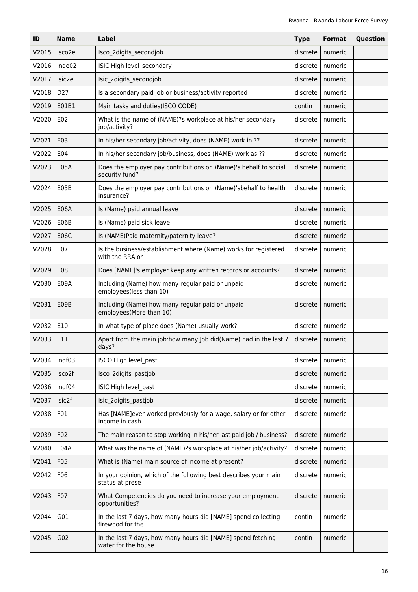| ID    | Name             | <b>Label</b>                                                                        | <b>Type</b> | Format  | Question |
|-------|------------------|-------------------------------------------------------------------------------------|-------------|---------|----------|
| V2015 | isco2e           | Isco 2digits secondjob                                                              | discrete    | numeric |          |
| V2016 | inde02           | ISIC High level secondary                                                           | discrete    | numeric |          |
| V2017 | isic2e           | Isic 2digits secondjob                                                              | discrete    | numeric |          |
| V2018 | D <sub>27</sub>  | Is a secondary paid job or business/activity reported                               | discrete    | numeric |          |
| V2019 | E01B1            | Main tasks and duties(ISCO CODE)                                                    | contin      | numeric |          |
| V2020 | E02              | What is the name of (NAME)?s workplace at his/her secondary<br>job/activity?        | discrete    | numeric |          |
| V2021 | E03              | In his/her secondary job/activity, does (NAME) work in ??                           | discrete    | numeric |          |
| V2022 | E04              | In his/her secondary job/business, does (NAME) work as ??                           | discrete    | numeric |          |
| V2023 | E05A             | Does the employer pay contributions on (Name)'s behalf to social<br>security fund?  | discrete    | numeric |          |
| V2024 | E05B             | Does the employer pay contributions on (Name)'sbehalf to health<br>insurance?       | discrete    | numeric |          |
| V2025 | <b>E06A</b>      | Is (Name) paid annual leave                                                         | discrete    | numeric |          |
| V2026 | E06B             | Is (Name) paid sick leave.                                                          | discrete    | numeric |          |
| V2027 | <b>E06C</b>      | Is (NAME)Paid maternity/paternity leave?                                            | discrete    | numeric |          |
| V2028 | E07              | Is the business/establishment where (Name) works for registered<br>with the RRA or  | discrete    | numeric |          |
| V2029 | E08              | Does [NAME]'s employer keep any written records or accounts?                        | discrete    | numeric |          |
| V2030 | E09A             | Including (Name) how many regular paid or unpaid<br>employees(less than 10)         | discrete    | numeric |          |
| V2031 | E09B             | Including (Name) how many regular paid or unpaid<br>employees(More than 10)         | discrete    | numeric |          |
| V2032 | E10              | In what type of place does (Name) usually work?                                     | discrete    | numeric |          |
| V2033 | E11              | Apart from the main job:how many Job did(Name) had in the last 7<br>days?           | discrete    | numeric |          |
| V2034 | indf03           | ISCO High level past                                                                | discrete    | numeric |          |
| V2035 | isco2f           | Isco 2digits pastjob                                                                | discrete    | numeric |          |
| V2036 | indf04           | ISIC High level past                                                                | discrete    | numeric |          |
| V2037 | isic2f           | Isic 2digits pastjob                                                                | discrete    | numeric |          |
| V2038 | F <sub>0</sub> 1 | Has [NAME]ever worked previously for a wage, salary or for other<br>income in cash  | discrete    | numeric |          |
| V2039 | F02              | The main reason to stop working in his/her last paid job / business?                | discrete    | numeric |          |
| V2040 | F04A             | What was the name of (NAME)?s workplace at his/her job/activity?                    | discrete    | numeric |          |
| V2041 | F05              | What is (Name) main source of income at present?                                    | discrete    | numeric |          |
| V2042 | F06              | In your opinion, which of the following best describes your main<br>status at prese | discrete    | numeric |          |
| V2043 | F07              | What Competencies do you need to increase your employment<br>opportunities?         | discrete    | numeric |          |
| V2044 | G01              | In the last 7 days, how many hours did [NAME] spend collecting<br>firewood for the  | contin      | numeric |          |
| V2045 | G02              | In the last 7 days, how many hours did [NAME] spend fetching<br>water for the house | contin      | numeric |          |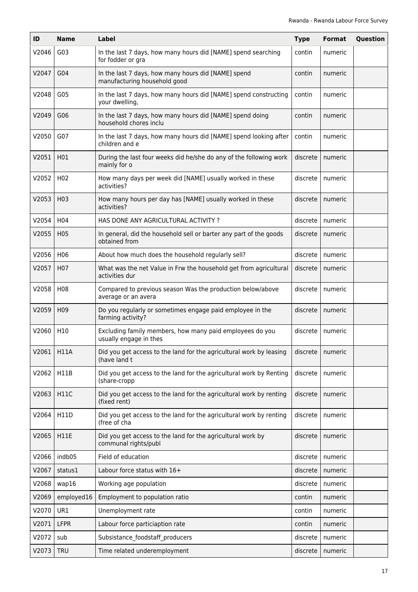| ID    | <b>Name</b>      | Label                                                                               | <b>Type</b> | <b>Format</b> | Question |
|-------|------------------|-------------------------------------------------------------------------------------|-------------|---------------|----------|
| V2046 | G03              | In the last 7 days, how many hours did [NAME] spend searching<br>for fodder or gra  | contin      | numeric       |          |
| V2047 | G04              | In the last 7 days, how many hours did [NAME] spend<br>manufacturing household good | contin      | numeric       |          |
| V2048 | G05              | In the last 7 days, how many hours did [NAME] spend constructing<br>your dwelling,  | contin      | numeric       |          |
| V2049 | G06              | In the last 7 days, how many hours did [NAME] spend doing<br>household chores inclu | contin      | numeric       |          |
| V2050 | G07              | In the last 7 days, how many hours did [NAME] spend looking after<br>children and e | contin      | numeric       |          |
| V2051 | H01              | During the last four weeks did he/she do any of the following work<br>mainly for o  | discrete    | numeric       |          |
| V2052 | H <sub>02</sub>  | How many days per week did [NAME] usually worked in these<br>activities?            | discrete    | numeric       |          |
| V2053 | H <sub>0</sub> 3 | How many hours per day has [NAME] usually worked in these<br>activities?            | discrete    | numeric       |          |
| V2054 | H <sub>04</sub>  | HAS DONE ANY AGRICULTURAL ACTIVITY?                                                 | discrete    | numeric       |          |
| V2055 | H <sub>0</sub> 5 | In general, did the household sell or barter any part of the goods<br>obtained from | discrete    | numeric       |          |
| V2056 | H06              | About how much does the household regularly sell?                                   | discrete    | numeric       |          |
| V2057 | H <sub>0</sub> 7 | What was the net Value in Frw the household get from agricultural<br>activities dur | discrete    | numeric       |          |
| V2058 | H <sub>0</sub> 8 | Compared to previous season Was the production below/above<br>average or an avera   | discrete    | numeric       |          |
| V2059 | H <sub>09</sub>  | Do you regularly or sometimes engage paid employee in the<br>farming activity?      | discrete    | numeric       |          |
| V2060 | H <sub>10</sub>  | Excluding family members, how many paid employees do you<br>usually engage in thes  | discrete    | numeric       |          |
| V2061 | <b>H11A</b>      | Did you get access to the land for the agricultural work by leasing<br>(have land t | discrete    | numeric       |          |
| V2062 | H11B             | Did you get access to the land for the agricultural work by Renting<br>(share-cropp | discrete    | numeric       |          |
| V2063 | <b>H11C</b>      | Did you get access to the land for the agricultural work by renting<br>(fixed rent) | discrete    | numeric       |          |
| V2064 | H11D             | Did you get access to the land for the agricultural work by renting<br>(free of cha | discrete    | numeric       |          |
| V2065 | <b>H11E</b>      | Did you get access to the land for the agricultural work by<br>communal rights/publ | discrete    | numeric       |          |
| V2066 | indb05           | Field of education                                                                  | discrete    | numeric       |          |
| V2067 | status1          | Labour force status with 16+                                                        | discrete    | numeric       |          |
| V2068 | wap16            | Working age population                                                              | discrete    | numeric       |          |
| V2069 | employed16       | Employment to population ratio                                                      | contin      | numeric       |          |
| V2070 | UR1              | Unemployment rate                                                                   | contin      | numeric       |          |
| V2071 | <b>LFPR</b>      | Labour force particiaption rate                                                     | contin      | numeric       |          |
| V2072 | sub              | Subsistance_foodstaff_producers                                                     | discrete    | numeric       |          |
| V2073 | <b>TRU</b>       | Time related underemployment                                                        | discrete    | numeric       |          |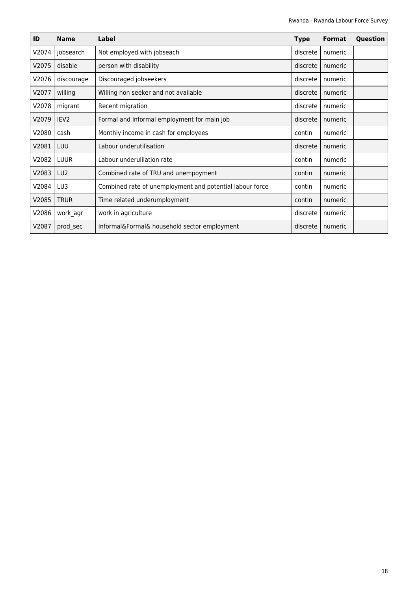| ID    | <b>Name</b>      | Label                                                    | <b>Type</b> | <b>Format</b> | Question |
|-------|------------------|----------------------------------------------------------|-------------|---------------|----------|
| V2074 | jobsearch        | Not employed with jobseach                               | discrete    | numeric       |          |
| V2075 | disable          | person with disability                                   | discrete    | numeric       |          |
| V2076 | discourage       | Discouraged jobseekers                                   | discrete    | numeric       |          |
| V2077 | willing          | Willing non seeker and not available                     | discrete    | numeric       |          |
| V2078 | migrant          | Recent migration                                         | discrete    | numeric       |          |
| V2079 | IEV <sub>2</sub> | Formal and Informal employment for main job              | discrete    | numeric       |          |
| V2080 | cash             | Monthly income in cash for employees                     | contin      | numeric       |          |
| V2081 | LUU              | Labour underutilisation                                  | discrete    | numeric       |          |
| V2082 | <b>LUUR</b>      | Labour underulilation rate                               | contin      | numeric       |          |
| V2083 | LU <sub>2</sub>  | Combined rate of TRU and unempoyment                     | contin      | numeric       |          |
| V2084 | LU3              | Combined rate of unemployment and potential labour force | contin      | numeric       |          |
| V2085 | <b>TRUR</b>      | Time related underumployment                             | contin      | numeric       |          |
| V2086 | work agr         | work in agriculture                                      | discrete    | numeric       |          |
| V2087 | prod_sec         | Informal&Formal& household sector employment             | discrete    | numeric       |          |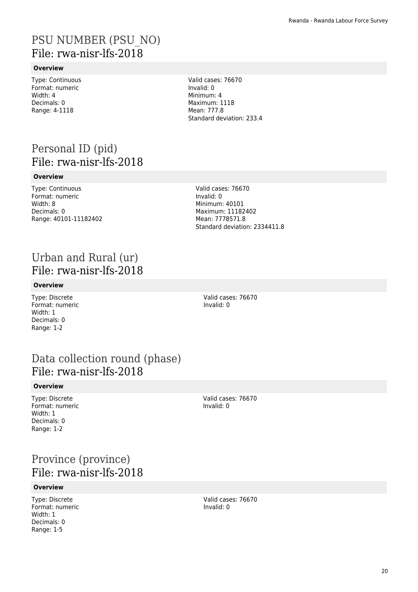# PSU NUMBER (PSU\_NO) File: rwa-nisr-lfs-2018

### **Overview**

Type: Continuous Format: numeric Width: 4 Decimals: 0 Range: 4-1118

Valid cases: 76670 Invalid: 0 Minimum: 4 Maximum: 1118 Mean: 777.8 Standard deviation: 233.4

# Personal ID (pid) File: rwa-nisr-lfs-2018

#### **Overview**

Type: Continuous Format: numeric Width: 8 Decimals: 0 Range: 40101-11182402 Valid cases: 76670 Invalid: 0 Minimum: 40101 Maximum: 11182402 Mean: 7778571.8 Standard deviation: 2334411.8

# Urban and Rural (ur) File: rwa-nisr-lfs-2018

#### **Overview**

Type: Discrete Format: numeric Width: 1 Decimals: 0 Range: 1-2

Valid cases: 76670 Invalid: 0

# Data collection round (phase) File: rwa-nisr-lfs-2018

#### **Overview**

Type: Discrete Format: numeric Width: 1 Decimals: 0 Range: 1-2

Valid cases: 76670 Invalid: 0

# Province (province) File: rwa-nisr-lfs-2018

#### **Overview**

Type: Discrete Format: numeric Width: 1 Decimals: 0 Range: 1-5

Valid cases: 76670 Invalid: 0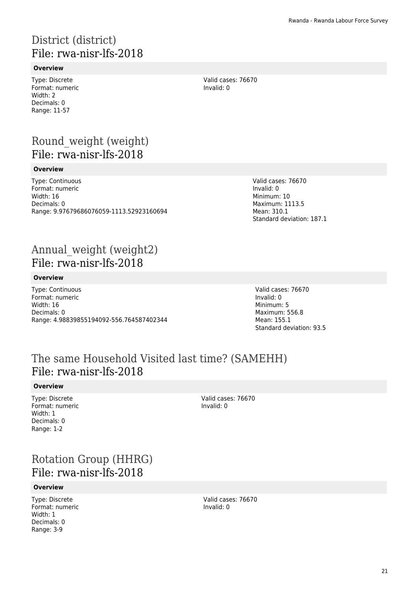# District (district) File: rwa-nisr-lfs-2018

### **Overview**

Type: Discrete Format: numeric Width: 2 Decimals: 0 Range: 11-57

Valid cases: 76670 Invalid: 0

# Round\_weight (weight) File: rwa-nisr-lfs-2018

#### **Overview**

Type: Continuous Format: numeric Width: 16 Decimals: 0 Range: 9.97679686076059-1113.52923160694

# Annual weight (weight2) File: rwa-nisr-lfs-2018

#### **Overview**

Type: Continuous Format: numeric Width: 16 Decimals: 0 Range: 4.98839855194092-556.764587402344 Valid cases: 76670 Invalid: 0 Minimum: 10 Maximum: 1113.5 Mean: 310.1 Standard deviation: 187.1

Valid cases: 76670 Invalid: 0 Minimum: 5 Maximum: 556.8 Mean: 155.1 Standard deviation: 93.5

# The same Household Visited last time? (SAMEHH) File: rwa-nisr-lfs-2018

#### **Overview**

Type: Discrete Format: numeric Width: 1 Decimals: 0 Range: 1-2

Valid cases: 76670 Invalid: 0

# Rotation Group (HHRG) File: rwa-nisr-lfs-2018

### **Overview**

Type: Discrete Format: numeric Width: 1 Decimals: 0 Range: 3-9

Valid cases: 76670 Invalid: 0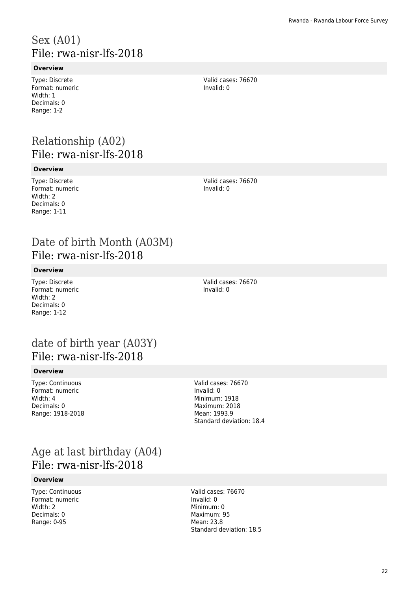# Sex (A01) File: rwa-nisr-lfs-2018

### **Overview**

Type: Discrete Format: numeric Width: 1 Decimals: 0 Range: 1-2

Valid cases: 76670 Invalid: 0

# Relationship (A02) File: rwa-nisr-lfs-2018

#### **Overview**

Type: Discrete Format: numeric Width: 2 Decimals: 0 Range: 1-11

Valid cases: 76670 Invalid: 0

# Date of birth Month (A03M) File: rwa-nisr-lfs-2018

#### **Overview**

Type: Discrete Format: numeric Width: 2 Decimals: 0 Range: 1-12

Valid cases: 76670 Invalid: 0

# date of birth year (A03Y) File: rwa-nisr-lfs-2018

#### **Overview**

Type: Continuous Format: numeric Width: 4 Decimals: 0 Range: 1918-2018 Valid cases: 76670 Invalid: 0 Minimum: 1918 Maximum: 2018 Mean: 1993.9 Standard deviation: 18.4

# Age at last birthday (A04) File: rwa-nisr-lfs-2018

#### **Overview**

Type: Continuous Format: numeric Width: 2 Decimals: 0 Range: 0-95

Valid cases: 76670 Invalid: 0 Minimum: 0 Maximum: 95 Mean: 23.8 Standard deviation: 18.5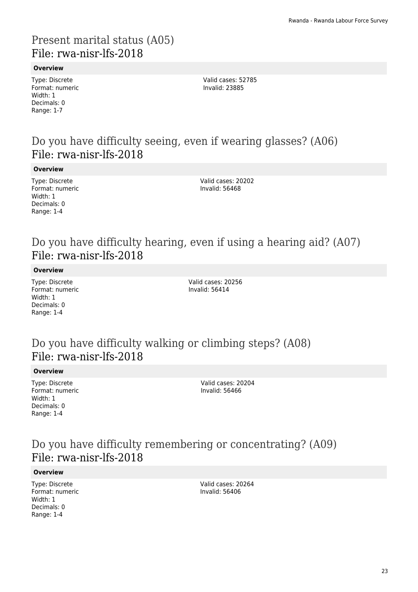# Present marital status (A05) File: rwa-nisr-lfs-2018

### **Overview**

Type: Discrete Format: numeric Width: 1 Decimals: 0 Range: 1-7

Valid cases: 52785 Invalid: 23885

# Do you have difficulty seeing, even if wearing glasses? (A06) File: rwa-nisr-lfs-2018

#### **Overview**

Type: Discrete Format: numeric Width: 1 Decimals: 0 Range: 1-4

Valid cases: 20202 Invalid: 56468

# Do you have difficulty hearing, even if using a hearing aid? (A07) File: rwa-nisr-lfs-2018

#### **Overview**

Type: Discrete Format: numeric Width: 1 Decimals: 0 Range: 1-4

Valid cases: 20256 Invalid: 56414

# Do you have difficulty walking or climbing steps? (A08) File: rwa-nisr-lfs-2018

### **Overview**

Type: Discrete Format: numeric Width: 1 Decimals: 0 Range: 1-4

Valid cases: 20204 Invalid: 56466

# Do you have difficulty remembering or concentrating? (A09) File: rwa-nisr-lfs-2018

### **Overview**

Type: Discrete Format: numeric Width: 1 Decimals: 0 Range: 1-4

Valid cases: 20264 Invalid: 56406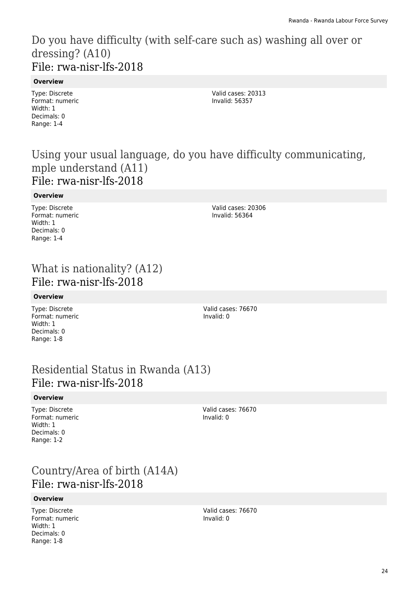# Do you have difficulty (with self-care such as) washing all over or dressing? (A10) File: rwa-nisr-lfs-2018

### **Overview**

Type: Discrete Format: numeric Width: 1 Decimals: 0 Range: 1-4

Valid cases: 20313 Invalid: 56357

# Using your usual language, do you have difficulty communicating, mple understand (A11) File: rwa-nisr-lfs-2018

### **Overview**

Type: Discrete Format: numeric Width: 1 Decimals: 0 Range: 1-4

Valid cases: 20306 Invalid: 56364

# What is nationality? (A12) File: rwa-nisr-lfs-2018

### **Overview**

Type: Discrete Format: numeric Width: 1 Decimals: 0 Range: 1-8

Valid cases: 76670 Invalid: 0

# Residential Status in Rwanda (A13) File: rwa-nisr-lfs-2018

### **Overview**

Type: Discrete Format: numeric Width: 1 Decimals: 0 Range: 1-2

Valid cases: 76670 Invalid: 0

# Country/Area of birth (A14A) File: rwa-nisr-lfs-2018

### **Overview**

Type: Discrete Format: numeric Width: 1 Decimals: 0 Range: 1-8

Valid cases: 76670 Invalid: 0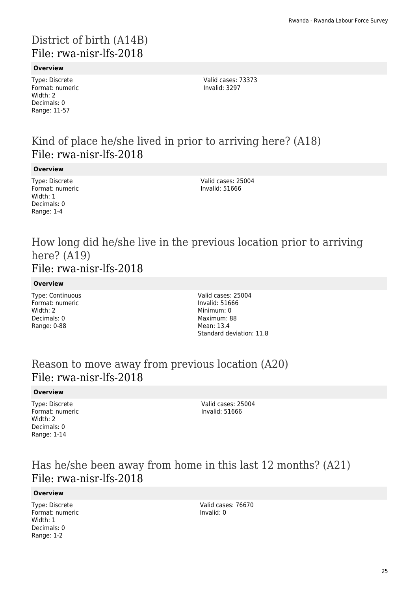# District of birth (A14B) File: rwa-nisr-lfs-2018

### **Overview**

Type: Discrete Format: numeric Width: 2 Decimals: 0 Range: 11-57

Valid cases: 73373 Invalid: 3297

# Kind of place he/she lived in prior to arriving here? (A18) File: rwa-nisr-lfs-2018

#### **Overview**

Type: Discrete Format: numeric Width: 1 Decimals: 0 Range: 1-4

Valid cases: 25004 Invalid: 51666

### How long did he/she live in the previous location prior to arriving here? (A19) File: rwa-nisr-lfs-2018

#### **Overview**

Type: Continuous Format: numeric Width: 2 Decimals: 0 Range: 0-88

Valid cases: 25004 Invalid: 51666 Minimum: 0 Maximum: 88 Mean: 13.4 Standard deviation: 11.8

# Reason to move away from previous location (A20) File: rwa-nisr-lfs-2018

#### **Overview**

Type: Discrete Format: numeric Width: 2 Decimals: 0 Range: 1-14

Valid cases: 25004 Invalid: 51666

# Has he/she been away from home in this last 12 months? (A21) File: rwa-nisr-lfs-2018

### **Overview**

Type: Discrete Format: numeric Width: 1 Decimals: 0 Range: 1-2

Valid cases: 76670 Invalid: 0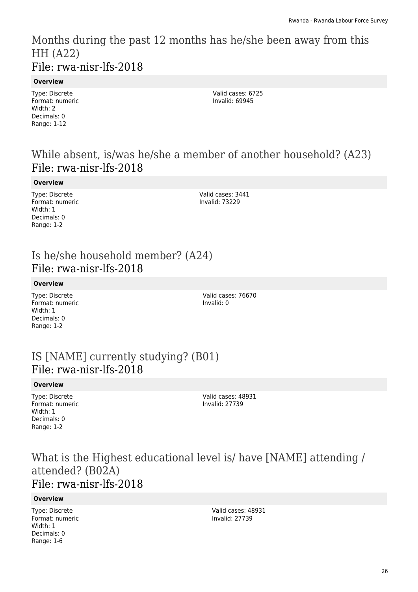Months during the past 12 months has he/she been away from this HH (A22) File: rwa-nisr-lfs-2018

### **Overview**

Type: Discrete Format: numeric Width: 2 Decimals: 0 Range: 1-12

Valid cases: 6725 Invalid: 69945

# While absent, is/was he/she a member of another household? (A23) File: rwa-nisr-lfs-2018

#### **Overview**

Type: Discrete Format: numeric Width: 1 Decimals: 0 Range: 1-2

Valid cases: 3441 Invalid: 73229

# Is he/she household member? (A24) File: rwa-nisr-lfs-2018

### **Overview**

Type: Discrete Format: numeric Width: 1 Decimals: 0 Range: 1-2

Valid cases: 76670 Invalid: 0

## IS [NAME] currently studying? (B01) File: rwa-nisr-lfs-2018

### **Overview**

Type: Discrete Format: numeric Width: 1 Decimals: 0 Range: 1-2

Valid cases: 48931 Invalid: 27739

### What is the Highest educational level is/ have [NAME] attending / attended? (B02A) File: rwa-nisr-lfs-2018

### **Overview**

Type: Discrete Format: numeric Width: 1 Decimals: 0 Range: 1-6

Valid cases: 48931 Invalid: 27739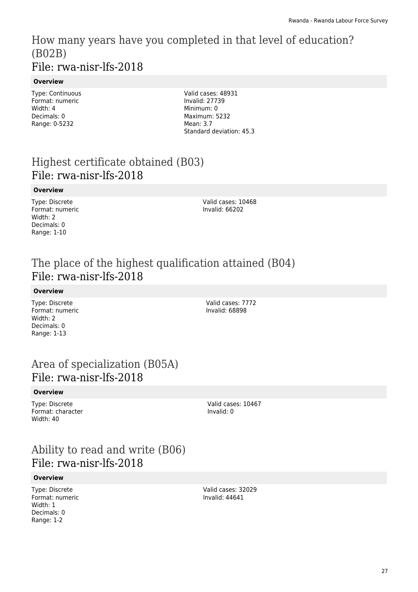### How many years have you completed in that level of education? (B02B) File: rwa-nisr-lfs-2018

### **Overview**

Type: Continuous Format: numeric Width: 4 Decimals: 0 Range: 0-5232

Valid cases: 48931 Invalid: 27739 Minimum: 0 Maximum: 5232 Mean: 3.7 Standard deviation: 45.3

# Highest certificate obtained (B03) File: rwa-nisr-lfs-2018

#### **Overview**

Type: Discrete Format: numeric Width: 2 Decimals: 0 Range: 1-10

Valid cases: 10468 Invalid: 66202

# The place of the highest qualification attained (B04) File: rwa-nisr-lfs-2018

### **Overview**

Type: Discrete Format: numeric Width: 2 Decimals: 0 Range: 1-13

Valid cases: 7772 Invalid: 68898

# Area of specialization (B05A) File: rwa-nisr-lfs-2018

### **Overview**

Type: Discrete Format: character Width: 40

Valid cases: 10467 Invalid: 0

# Ability to read and write (B06) File: rwa-nisr-lfs-2018

### **Overview**

Type: Discrete Format: numeric Width: 1 Decimals: 0 Range: 1-2

Valid cases: 32029 Invalid: 44641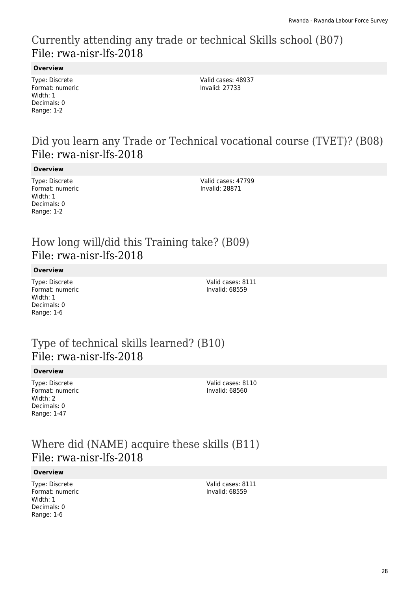# Currently attending any trade or technical Skills school (B07) File: rwa-nisr-lfs-2018

### **Overview**

Type: Discrete Format: numeric Width: 1 Decimals: 0 Range: 1-2

Valid cases: 48937 Invalid: 27733

# Did you learn any Trade or Technical vocational course (TVET)? (B08) File: rwa-nisr-lfs-2018

#### **Overview**

Type: Discrete Format: numeric Width: 1 Decimals: 0 Range: 1-2

Valid cases: 47799 Invalid: 28871

# How long will/did this Training take? (B09) File: rwa-nisr-lfs-2018

#### **Overview**

Type: Discrete Format: numeric Width: 1 Decimals: 0 Range: 1-6

Valid cases: 8111 Invalid: 68559

## Type of technical skills learned? (B10) File: rwa-nisr-lfs-2018

#### **Overview**

Type: Discrete Format: numeric Width: 2 Decimals: 0 Range: 1-47

Valid cases: 8110 Invalid: 68560

# Where did (NAME) acquire these skills (B11) File: rwa-nisr-lfs-2018

#### **Overview**

Type: Discrete Format: numeric Width: 1 Decimals: 0 Range: 1-6

Valid cases: 8111 Invalid: 68559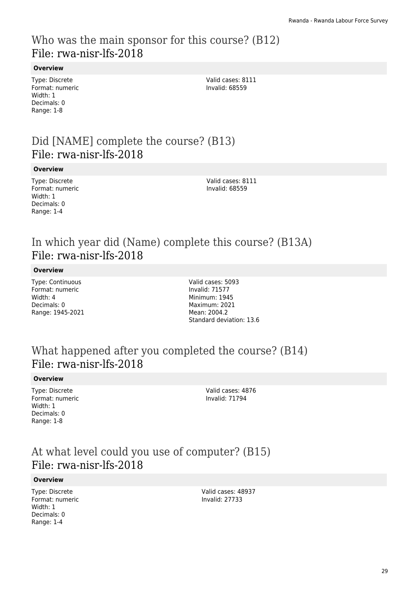# Who was the main sponsor for this course? (B12) File: rwa-nisr-lfs-2018

### **Overview**

Type: Discrete Format: numeric Width: 1 Decimals: 0 Range: 1-8

Valid cases: 8111 Invalid: 68559

# Did [NAME] complete the course? (B13) File: rwa-nisr-lfs-2018

#### **Overview**

Type: Discrete Format: numeric Width: 1 Decimals: 0 Range: 1-4

Valid cases: 8111 Invalid: 68559

# In which year did (Name) complete this course? (B13A) File: rwa-nisr-lfs-2018

#### **Overview**

Type: Continuous Format: numeric Width: 4 Decimals: 0 Range: 1945-2021 Valid cases: 5093 Invalid: 71577 Minimum: 1945 Maximum: 2021 Mean: 2004.2 Standard deviation: 13.6

# What happened after you completed the course? (B14) File: rwa-nisr-lfs-2018

#### **Overview**

Type: Discrete Format: numeric Width: 1 Decimals: 0 Range: 1-8

Valid cases: 4876 Invalid: 71794

# At what level could you use of computer? (B15) File: rwa-nisr-lfs-2018

#### **Overview**

Type: Discrete Format: numeric Width: 1 Decimals: 0 Range: 1-4

Valid cases: 48937 Invalid: 27733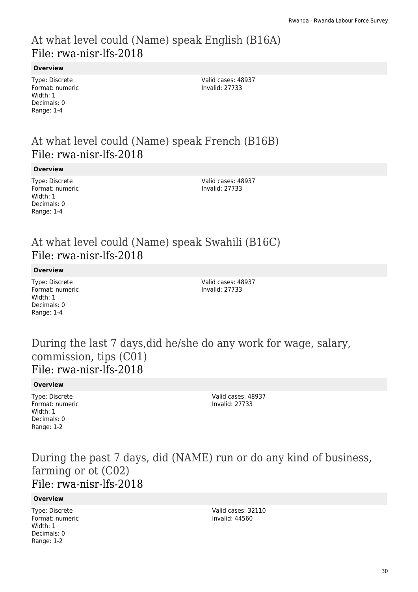# At what level could (Name) speak English (B16A) File: rwa-nisr-lfs-2018

### **Overview**

Type: Discrete Format: numeric Width: 1 Decimals: 0 Range: 1-4

Valid cases: 48937 Invalid: 27733

# At what level could (Name) speak French (B16B) File: rwa-nisr-lfs-2018

#### **Overview**

Type: Discrete Format: numeric Width: 1 Decimals: 0 Range: 1-4

Valid cases: 48937 Invalid: 27733

# At what level could (Name) speak Swahili (B16C) File: rwa-nisr-lfs-2018

#### **Overview**

Type: Discrete Format: numeric Width: 1 Decimals: 0 Range: 1-4

Valid cases: 48937 Invalid: 27733

### During the last 7 days,did he/she do any work for wage, salary, commission, tips (C01) File: rwa-nisr-lfs-2018

#### **Overview**

Type: Discrete Format: numeric Width: 1 Decimals: 0 Range: 1-2

Valid cases: 48937 Invalid: 27733

### During the past 7 days, did (NAME) run or do any kind of business, farming or ot (C02) File: rwa-nisr-lfs-2018

#### **Overview**

Type: Discrete Format: numeric Width: 1 Decimals: 0 Range: 1-2

Valid cases: 32110 Invalid: 44560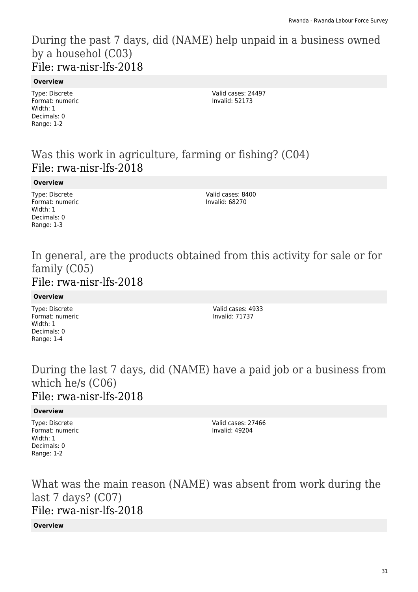During the past 7 days, did (NAME) help unpaid in a business owned by a househol (C03) File: rwa-nisr-lfs-2018

#### **Overview**

Type: Discrete Format: numeric Width: 1 Decimals: 0 Range: 1-2

Valid cases: 24497 Invalid: 52173

# Was this work in agriculture, farming or fishing? (C04) File: rwa-nisr-lfs-2018

**Overview**

Type: Discrete Format: numeric Width: 1 Decimals: 0 Range: 1-3

Valid cases: 8400 Invalid: 68270

### In general, are the products obtained from this activity for sale or for family (C05) File: rwa-nisr-lfs-2018

**Overview**

Type: Discrete Format: numeric Width: 1 Decimals: 0 Range: 1-4

Valid cases: 4933 Invalid: 71737

### During the last 7 days, did (NAME) have a paid job or a business from which he/s (C06) File: rwa-nisr-lfs-2018

### **Overview**

Type: Discrete Format: numeric Width: 1 Decimals: 0 Range: 1-2

Valid cases: 27466 Invalid: 49204

What was the main reason (NAME) was absent from work during the last 7 days? (C07) File: rwa-nisr-lfs-2018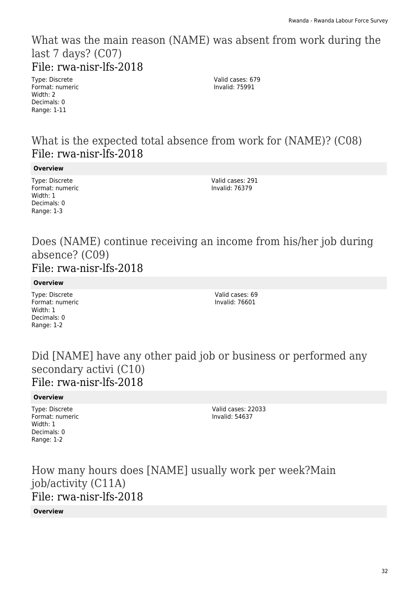### What was the main reason (NAME) was absent from work during the last 7 days? (C07) File: rwa-nisr-lfs-2018

Type: Discrete Format: numeric Width: 2 Decimals: 0 Range: 1-11

Valid cases: 679 Invalid: 75991

# What is the expected total absence from work for (NAME)? (C08) File: rwa-nisr-lfs-2018

**Overview**

Type: Discrete Format: numeric Width: 1 Decimals: 0 Range: 1-3

Valid cases: 291 Invalid: 76379

### Does (NAME) continue receiving an income from his/her job during absence? (C09) File: rwa-nisr-lfs-2018

**Overview**

Type: Discrete Format: numeric Width: 1 Decimals: 0 Range: 1-2

Valid cases: 69 Invalid: 76601

# Did [NAME] have any other paid job or business or performed any secondary activi (C10) File: rwa-nisr-lfs-2018

### **Overview**

Type: Discrete Format: numeric Width: 1 Decimals: 0 Range: 1-2

Valid cases: 22033 Invalid: 54637

How many hours does [NAME] usually work per week?Main job/activity (C11A) File: rwa-nisr-lfs-2018 **Overview**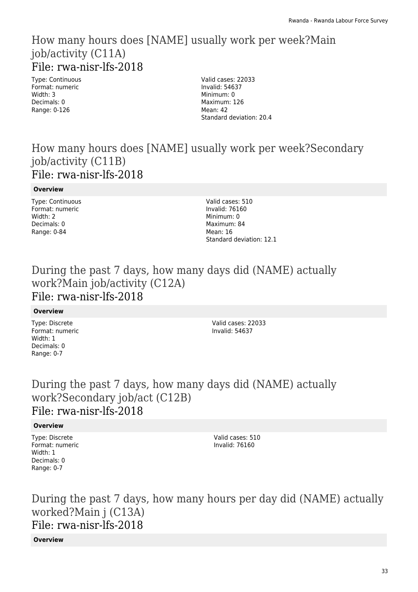### How many hours does [NAME] usually work per week?Main job/activity (C11A) File: rwa-nisr-lfs-2018

Type: Continuous Format: numeric Width: 3 Decimals: 0 Range: 0-126

Valid cases: 22033 Invalid: 54637 Minimum: 0 Maximum: 126 Mean: 42 Standard deviation: 20.4

# How many hours does [NAME] usually work per week?Secondary job/activity (C11B) File: rwa-nisr-lfs-2018

### **Overview**

Type: Continuous Format: numeric Width: 2 Decimals: 0 Range: 0-84

Valid cases: 510 Invalid: 76160 Minimum: 0 Maximum: 84 Mean: 16 Standard deviation: 12.1

# During the past 7 days, how many days did (NAME) actually work?Main job/activity (C12A) File: rwa-nisr-lfs-2018

### **Overview**

Type: Discrete Format: numeric Width: 1 Decimals: 0 Range: 0-7

Valid cases: 22033 Invalid: 54637

# During the past 7 days, how many days did (NAME) actually work?Secondary job/act (C12B) File: rwa-nisr-lfs-2018

### **Overview**

Type: Discrete Format: numeric Width: 1 Decimals: 0 Range: 0-7

Valid cases: 510 Invalid: 76160

# During the past 7 days, how many hours per day did (NAME) actually worked?Main j (C13A) File: rwa-nisr-lfs-2018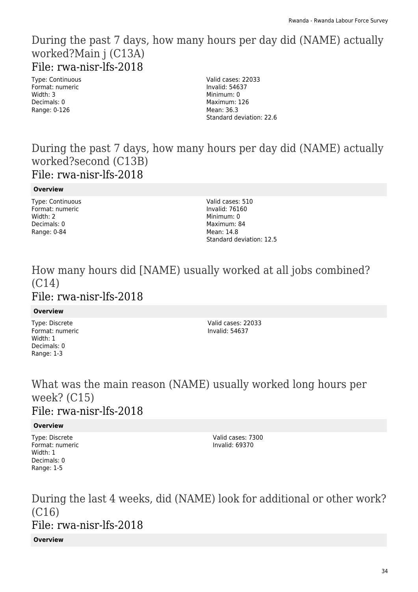### During the past 7 days, how many hours per day did (NAME) actually worked?Main j (C13A) File: rwa-nisr-lfs-2018

Type: Continuous Format: numeric Width: 3 Decimals: 0 Range: 0-126

Valid cases: 22033 Invalid: 54637 Minimum: 0 Maximum: 126 Mean: 36.3 Standard deviation: 22.6

# During the past 7 days, how many hours per day did (NAME) actually worked?second (C13B) File: rwa-nisr-lfs-2018

### **Overview**

Type: Continuous Format: numeric Width: 2 Decimals: 0 Range: 0-84

Valid cases: 510 Invalid: 76160 Minimum: 0 Maximum: 84 Mean: 14.8 Standard deviation: 12.5

### How many hours did [NAME) usually worked at all jobs combined? (C14) File: rwa-nisr-lfs-2018

### **Overview**

Type: Discrete Format: numeric Width: 1 Decimals: 0 Range: 1-3

Valid cases: 22033 Invalid: 54637

### What was the main reason (NAME) usually worked long hours per week? (C15) File: rwa-nisr-lfs-2018

### **Overview**

Type: Discrete Format: numeric Width: 1 Decimals: 0 Range: 1-5

Valid cases: 7300 Invalid: 69370

During the last 4 weeks, did (NAME) look for additional or other work? (C16) File: rwa-nisr-lfs-2018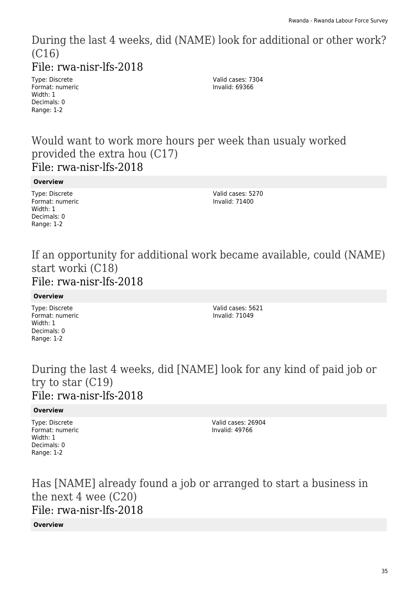During the last 4 weeks, did (NAME) look for additional or other work? (C16)

File: rwa-nisr-lfs-2018

Type: Discrete Format: numeric Width: 1 Decimals: 0 Range: 1-2

Valid cases: 7304 Invalid: 69366

Would want to work more hours per week than usualy worked provided the extra hou (C17) File: rwa-nisr-lfs-2018

**Overview**

Type: Discrete Format: numeric Width: 1 Decimals: 0 Range: 1-2

Valid cases: 5270 Invalid: 71400

### If an opportunity for additional work became available, could (NAME) start worki (C18) File: rwa-nisr-lfs-2018

**Overview**

Type: Discrete Format: numeric Width: 1 Decimals: 0 Range: 1-2

Valid cases: 5621 Invalid: 71049

During the last 4 weeks, did [NAME] look for any kind of paid job or try to star (C19) File: rwa-nisr-lfs-2018

### **Overview**

Type: Discrete Format: numeric Width: 1 Decimals: 0 Range: 1-2

Valid cases: 26904 Invalid: 49766

Has [NAME] already found a job or arranged to start a business in the next 4 wee (C20) File: rwa-nisr-lfs-2018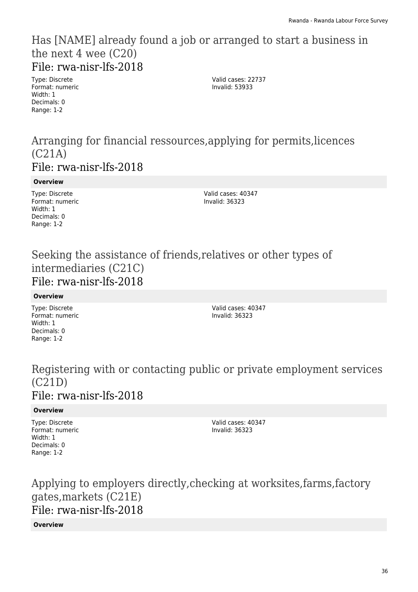### Has [NAME] already found a job or arranged to start a business in the next 4 wee (C20) File: rwa-nisr-lfs-2018

Type: Discrete Format: numeric Width: 1 Decimals: 0 Range: 1-2

Valid cases: 22737 Invalid: 53933

### Arranging for financial ressources,applying for permits,licences (C21A) File: rwa-nisr-lfs-2018

### **Overview**

Type: Discrete Format: numeric Width: 1 Decimals: 0 Range: 1-2

Valid cases: 40347 Invalid: 36323

# Seeking the assistance of friends,relatives or other types of intermediaries (C21C) File: rwa-nisr-lfs-2018

### **Overview**

Type: Discrete Format: numeric Width: 1 Decimals: 0 Range: 1-2

Valid cases: 40347 Invalid: 36323

### Registering with or contacting public or private employment services (C21D) File: rwa-nisr-lfs-2018

### **Overview**

Type: Discrete Format: numeric Width: 1 Decimals: 0 Range: 1-2

Valid cases: 40347 Invalid: 36323

# Applying to employers directly,checking at worksites,farms,factory gates,markets (C21E) File: rwa-nisr-lfs-2018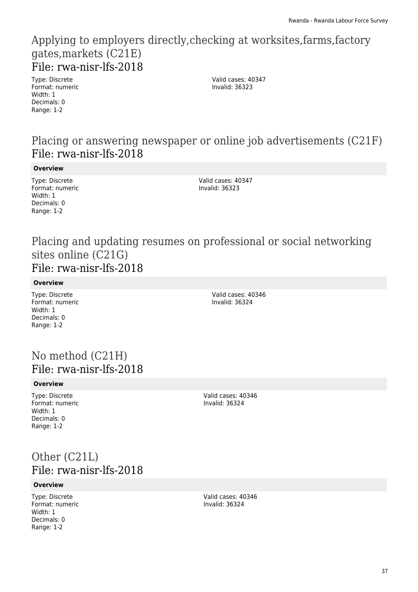# Applying to employers directly,checking at worksites,farms,factory gates,markets (C21E) File: rwa-nisr-lfs-2018

Type: Discrete Format: numeric Width: 1 Decimals: 0 Range: 1-2

Valid cases: 40347 Invalid: 36323

# Placing or answering newspaper or online job advertisements (C21F) File: rwa-nisr-lfs-2018

**Overview**

Type: Discrete Format: numeric Width: 1 Decimals: 0 Range: 1-2

Valid cases: 40347 Invalid: 36323

### Placing and updating resumes on professional or social networking sites online (C21G) File: rwa-nisr-lfs-2018

**Overview**

Type: Discrete Format: numeric Width: 1 Decimals: 0 Range: 1-2

Valid cases: 40346 Invalid: 36324

# No method (C21H) File: rwa-nisr-lfs-2018

### **Overview**

Type: Discrete Format: numeric Width: 1 Decimals: 0 Range: 1-2

Valid cases: 40346 Invalid: 36324

# Other (C21L) File: rwa-nisr-lfs-2018

### **Overview**

Type: Discrete Format: numeric Width: 1 Decimals: 0 Range: 1-2

Valid cases: 40346 Invalid: 36324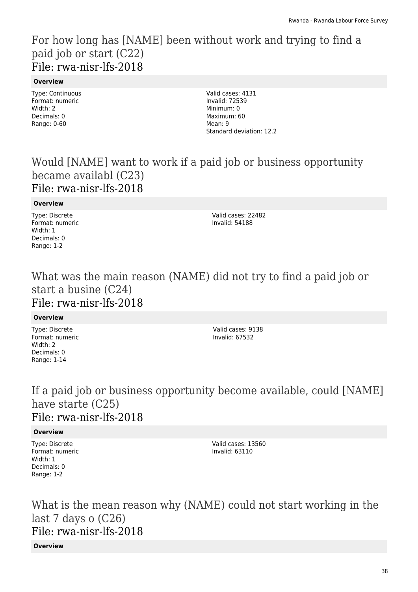# For how long has [NAME] been without work and trying to find a paid job or start (C22) File: rwa-nisr-lfs-2018

### **Overview**

Type: Continuous Format: numeric Width: 2 Decimals: 0 Range: 0-60

Valid cases: 4131 Invalid: 72539 Minimum: 0 Maximum: 60 Mean: 9 Standard deviation: 12.2

# Would [NAME] want to work if a paid job or business opportunity became availabl (C23) File: rwa-nisr-lfs-2018

### **Overview**

Type: Discrete Format: numeric Width: 1 Decimals: 0 Range: 1-2

Valid cases: 22482 Invalid: 54188

### What was the main reason (NAME) did not try to find a paid job or start a busine (C24) File: rwa-nisr-lfs-2018

### **Overview**

Type: Discrete Format: numeric Width: 2 Decimals: 0 Range: 1-14

Valid cases: 9138 Invalid: 67532

# If a paid job or business opportunity become available, could [NAME] have starte (C25) File: rwa-nisr-lfs-2018

### **Overview**

Type: Discrete Format: numeric Width: 1 Decimals: 0 Range: 1-2

Valid cases: 13560 Invalid: 63110

What is the mean reason why (NAME) could not start working in the last 7 days o (C26) File: rwa-nisr-lfs-2018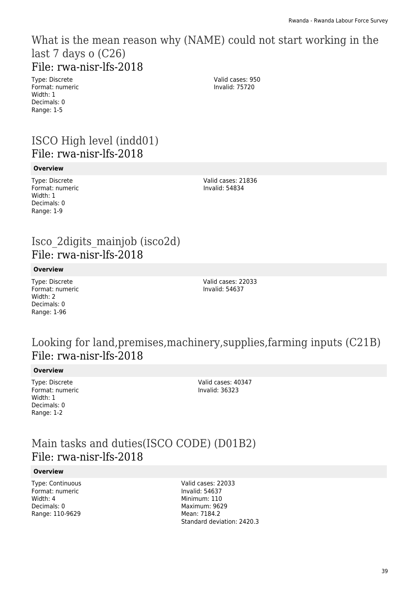### What is the mean reason why (NAME) could not start working in the last 7 days o (C26) File: rwa-nisr-lfs-2018

Type: Discrete Format: numeric Width: 1 Decimals: 0 Range: 1-5

Valid cases: 950 Invalid: 75720

# ISCO High level (indd01) File: rwa-nisr-lfs-2018

#### **Overview**

Type: Discrete Format: numeric Width: 1 Decimals: 0 Range: 1-9

Valid cases: 21836 Invalid: 54834

# Isco\_2digits\_mainjob (isco2d) File: rwa-nisr-lfs-2018

#### **Overview**

Type: Discrete Format: numeric Width: 2 Decimals: 0 Range: 1-96

Valid cases: 22033 Invalid: 54637

## Looking for land,premises,machinery,supplies,farming inputs (C21B) File: rwa-nisr-lfs-2018

### **Overview**

Type: Discrete Format: numeric Width · 1 Decimals: 0 Range: 1-2

Valid cases: 40347 Invalid: 36323

# Main tasks and duties(ISCO CODE) (D01B2) File: rwa-nisr-lfs-2018

### **Overview**

Type: Continuous Format: numeric Width: 4 Decimals: 0 Range: 110-9629

Valid cases: 22033 Invalid: 54637 Minimum: 110 Maximum: 9629 Mean: 7184.2 Standard deviation: 2420.3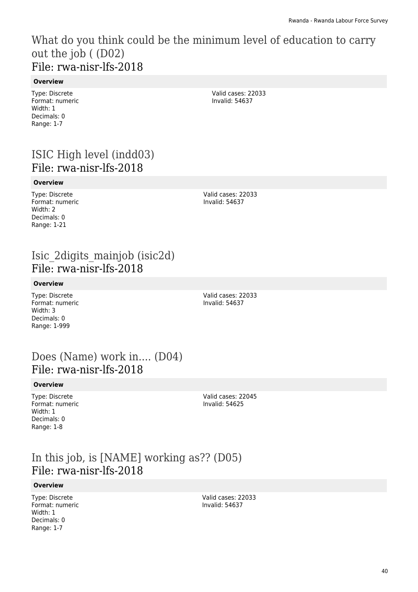# What do you think could be the minimum level of education to carry out the job ( (D02) File: rwa-nisr-lfs-2018

### **Overview**

Type: Discrete Format: numeric Width: 1 Decimals: 0 Range: 1-7

ISIC High level (indd03) File: rwa-nisr-lfs-2018

#### **Overview**

Type: Discrete Format: numeric Width: 2 Decimals: 0 Range: 1-21

Valid cases: 22033 Invalid: 54637

Valid cases: 22033 Invalid: 54637

# Isic\_2digits\_mainjob (isic2d) File: rwa-nisr-lfs-2018

### **Overview**

Type: Discrete Format: numeric Width: 3 Decimals: 0 Range: 1-999

Valid cases: 22033 Invalid: 54637

# Does (Name) work in.... (D04) File: rwa-nisr-lfs-2018

### **Overview**

Type: Discrete Format: numeric Width: 1 Decimals: 0 Range: 1-8

Valid cases: 22045 Invalid: 54625

## In this job, is [NAME] working as?? (D05) File: rwa-nisr-lfs-2018

#### **Overview**

Type: Discrete Format: numeric Width: 1 Decimals: 0 Range: 1-7

Valid cases: 22033 Invalid: 54637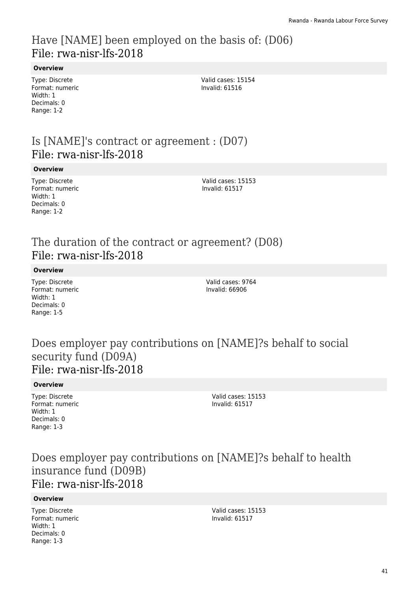# Have [NAME] been employed on the basis of: (D06) File: rwa-nisr-lfs-2018

### **Overview**

Type: Discrete Format: numeric Width: 1 Decimals: 0 Range: 1-2

Valid cases: 15154 Invalid: 61516

# Is [NAME]'s contract or agreement : (D07) File: rwa-nisr-lfs-2018

#### **Overview**

Type: Discrete Format: numeric Width: 1 Decimals: 0 Range: 1-2

Valid cases: 15153 Invalid: 61517

# The duration of the contract or agreement? (D08) File: rwa-nisr-lfs-2018

#### **Overview**

Type: Discrete Format: numeric Width: 1 Decimals: 0 Range: 1-5

Valid cases: 9764 Invalid: 66906

### Does employer pay contributions on [NAME]?s behalf to social security fund (D09A) File: rwa-nisr-lfs-2018

#### **Overview**

Type: Discrete Format: numeric Width: 1 Decimals: 0 Range: 1-3

Valid cases: 15153 Invalid: 61517

### Does employer pay contributions on [NAME]?s behalf to health insurance fund (D09B) File: rwa-nisr-lfs-2018

#### **Overview**

Type: Discrete Format: numeric Width: 1 Decimals: 0 Range: 1-3

Valid cases: 15153 Invalid: 61517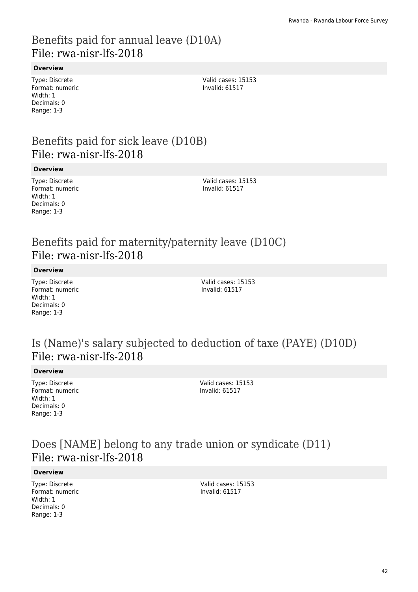### Benefits paid for annual leave (D10A) File: rwa-nisr-lfs-2018

### **Overview**

Type: Discrete Format: numeric Width: 1 Decimals: 0 Range: 1-3

Valid cases: 15153 Invalid: 61517

# Benefits paid for sick leave (D10B) File: rwa-nisr-lfs-2018

#### **Overview**

Type: Discrete Format: numeric Width: 1 Decimals: 0 Range: 1-3

Valid cases: 15153 Invalid: 61517

# Benefits paid for maternity/paternity leave (D10C) File: rwa-nisr-lfs-2018

**Overview**

Type: Discrete Format: numeric Width: 1 Decimals: 0 Range: 1-3

Valid cases: 15153 Invalid: 61517

# Is (Name)'s salary subjected to deduction of taxe (PAYE) (D10D) File: rwa-nisr-lfs-2018

#### **Overview**

Type: Discrete Format: numeric Width: 1 Decimals: 0 Range: 1-3

Valid cases: 15153 Invalid: 61517

## Does [NAME] belong to any trade union or syndicate (D11) File: rwa-nisr-lfs-2018

#### **Overview**

Type: Discrete Format: numeric Width: 1 Decimals: 0 Range: 1-3

Valid cases: 15153 Invalid: 61517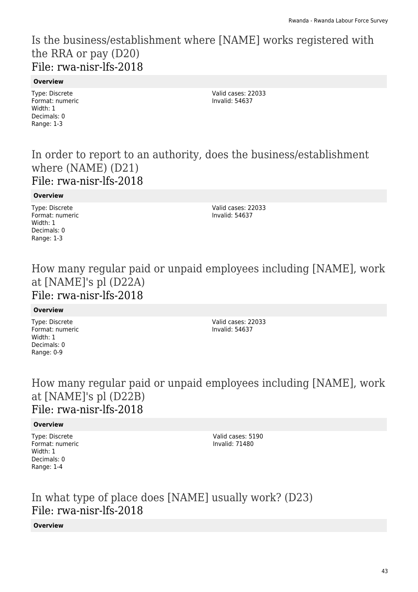## Is the business/establishment where [NAME] works registered with the RRA or pay (D20) File: rwa-nisr-lfs-2018

### **Overview**

Type: Discrete Format: numeric Width: 1 Decimals: 0 Range: 1-3

Valid cases: 22033 Invalid: 54637

### In order to report to an authority, does the business/establishment where (NAME) (D21) File: rwa-nisr-lfs-2018

**Overview**

Type: Discrete Format: numeric Width: 1 Decimals: 0 Range: 1-3

Valid cases: 22033 Invalid: 54637

### How many regular paid or unpaid employees including [NAME], work at [NAME]'s pl (D22A) File: rwa-nisr-lfs-2018

### **Overview**

Type: Discrete Format: numeric Width: 1 Decimals: 0 Range: 0-9

Valid cases: 22033 Invalid: 54637

# How many regular paid or unpaid employees including [NAME], work at [NAME]'s pl (D22B) File: rwa-nisr-lfs-2018

### **Overview**

Type: Discrete Format: numeric Width: 1 Decimals: 0 Range: 1-4

Valid cases: 5190 Invalid: 71480

In what type of place does [NAME] usually work? (D23) File: rwa-nisr-lfs-2018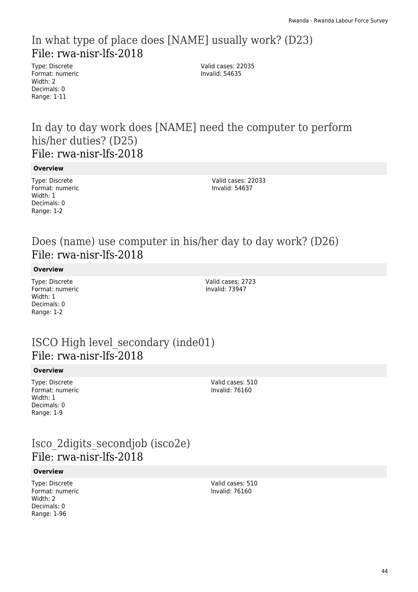# In what type of place does [NAME] usually work? (D23) File: rwa-nisr-lfs-2018

Type: Discrete Format: numeric Width: 2 Decimals: 0 Range: 1-11

Valid cases: 22035 Invalid: 54635

### In day to day work does [NAME] need the computer to perform his/her duties? (D25) File: rwa-nisr-lfs-2018

**Overview**

Type: Discrete Format: numeric Width: 1 Decimals: 0 Range: 1-2

Valid cases: 22033 Invalid: 54637

# Does (name) use computer in his/her day to day work? (D26) File: rwa-nisr-lfs-2018

**Overview**

Type: Discrete Format: numeric Width: 1 Decimals: 0 Range: 1-2

Valid cases: 2723 Invalid: 73947

# ISCO High level\_secondary (inde01) File: rwa-nisr-lfs-2018

### **Overview**

Type: Discrete Format: numeric Width: 1 Decimals: 0 Range: 1-9

Valid cases: 510 Invalid: 76160

# Isco\_2digits\_secondjob (isco2e) File: rwa-nisr-lfs-2018

### **Overview**

Type: Discrete Format: numeric Width: 2 Decimals: 0 Range: 1-96

Valid cases: 510 Invalid: 76160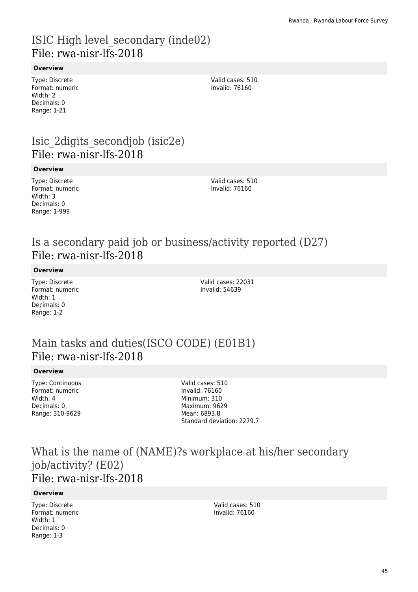# ISIC High level\_secondary (inde02) File: rwa-nisr-lfs-2018

### **Overview**

Type: Discrete Format: numeric Width: 2 Decimals: 0 Range: 1-21

Valid cases: 510 Invalid: 76160

# Isic\_2digits\_secondjob (isic2e) File: rwa-nisr-lfs-2018

#### **Overview**

Type: Discrete Format: numeric Width: 3 Decimals: 0 Range: 1-999

Valid cases: 510 Invalid: 76160

# Is a secondary paid job or business/activity reported (D27) File: rwa-nisr-lfs-2018

**Overview**

Type: Discrete Format: numeric Width: 1 Decimals: 0 Range: 1-2

Valid cases: 22031 Invalid: 54639

# Main tasks and duties(ISCO CODE) (E01B1) File: rwa-nisr-lfs-2018

### **Overview**

| Type: Continuous |
|------------------|
| Format: numeric  |
| Width: 4         |
| Decimals: 0      |
| Range: 310-9629  |

Valid cases: 510 Invalid: 76160 Minimum: 310 Maximum: 9629 Mean: 6893.8 Standard deviation: 2279.7

### What is the name of (NAME)?s workplace at his/her secondary job/activity? (E02) File: rwa-nisr-lfs-2018

### **Overview**

Type: Discrete Format: numeric Width: 1 Decimals: 0 Range: 1-3

Valid cases: 510 Invalid: 76160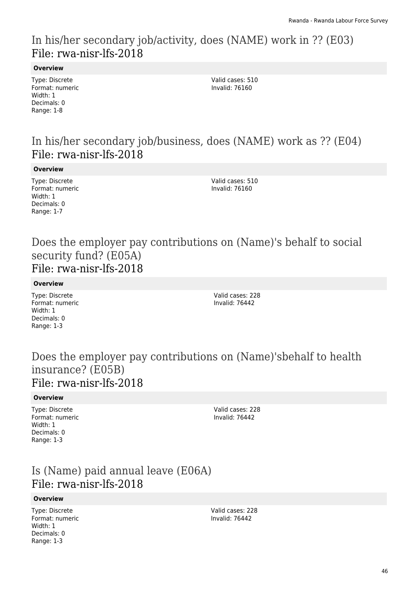# In his/her secondary job/activity, does (NAME) work in ?? (E03) File: rwa-nisr-lfs-2018

### **Overview**

Type: Discrete Format: numeric Width: 1 Decimals: 0 Range: 1-8

Valid cases: 510 Invalid: 76160

# In his/her secondary job/business, does (NAME) work as ?? (E04) File: rwa-nisr-lfs-2018

#### **Overview**

Type: Discrete Format: numeric Width: 1 Decimals: 0 Range: 1-7

Valid cases: 510 Invalid: 76160

### Does the employer pay contributions on (Name)'s behalf to social security fund? (E05A) File: rwa-nisr-lfs-2018

#### **Overview**

Type: Discrete Format: numeric Width: 1 Decimals: 0 Range: 1-3

Valid cases: 228 Invalid: 76442

### Does the employer pay contributions on (Name)'sbehalf to health insurance? (E05B) File: rwa-nisr-lfs-2018

### **Overview**

Type: Discrete Format: numeric Width: 1 Decimals: 0 Range: 1-3

Valid cases: 228 Invalid: 76442

# Is (Name) paid annual leave (E06A) File: rwa-nisr-lfs-2018

### **Overview**

Type: Discrete Format: numeric Width: 1 Decimals: 0 Range: 1-3

Valid cases: 228 Invalid: 76442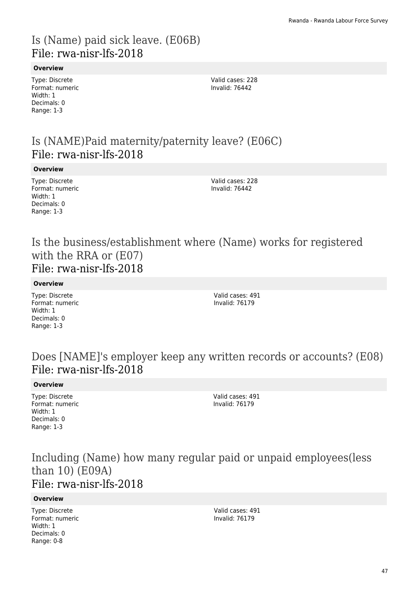# Is (Name) paid sick leave. (E06B) File: rwa-nisr-lfs-2018

### **Overview**

Type: Discrete Format: numeric Width: 1 Decimals: 0 Range: 1-3

Valid cases: 228 Invalid: 76442

# Is (NAME)Paid maternity/paternity leave? (E06C) File: rwa-nisr-lfs-2018

#### **Overview**

Type: Discrete Format: numeric Width: 1 Decimals: 0 Range: 1-3

Valid cases: 228 Invalid: 76442

### Is the business/establishment where (Name) works for registered with the RRA or (E07) File: rwa-nisr-lfs-2018

### **Overview**

Type: Discrete Format: numeric Width: 1 Decimals: 0 Range: 1-3

Valid cases: 491 Invalid: 76179

## Does [NAME]'s employer keep any written records or accounts? (E08) File: rwa-nisr-lfs-2018

### **Overview**

Type: Discrete Format: numeric Width: 1 Decimals: 0 Range: 1-3

Valid cases: 491 Invalid: 76179

### Including (Name) how many regular paid or unpaid employees(less than 10) (E09A) File: rwa-nisr-lfs-2018

### **Overview**

Type: Discrete Format: numeric Width: 1 Decimals: 0 Range: 0-8

Valid cases: 491 Invalid: 76179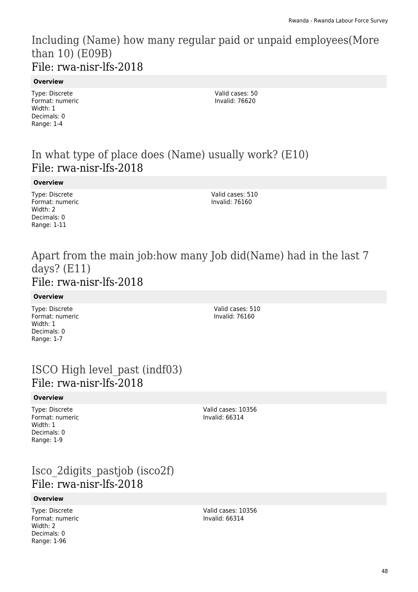Including (Name) how many regular paid or unpaid employees(More than 10) (E09B) File: rwa-nisr-lfs-2018

#### **Overview**

Type: Discrete Format: numeric Width: 1 Decimals: 0 Range: 1-4

Valid cases: 50 Invalid: 76620

# In what type of place does (Name) usually work? (E10) File: rwa-nisr-lfs-2018

#### **Overview**

Type: Discrete Format: numeric Width: 2 Decimals: 0 Range: 1-11

Valid cases: 510 Invalid: 76160

### Apart from the main job:how many Job did(Name) had in the last 7 days? (E11) File: rwa-nisr-lfs-2018

#### **Overview**

Type: Discrete Format: numeric Width: 1 Decimals: 0 Range: 1-7

Valid cases: 510 Invalid: 76160

### ISCO High level\_past (indf03) File: rwa-nisr-lfs-2018

#### **Overview**

Type: Discrete Format: numeric Width: 1 Decimals: 0 Range: 1-9

Valid cases: 10356 Invalid: 66314

# Isco\_2digits\_pastjob (isco2f) File: rwa-nisr-lfs-2018

### **Overview**

Type: Discrete Format: numeric Width: 2 Decimals: 0 Range: 1-96

Valid cases: 10356 Invalid: 66314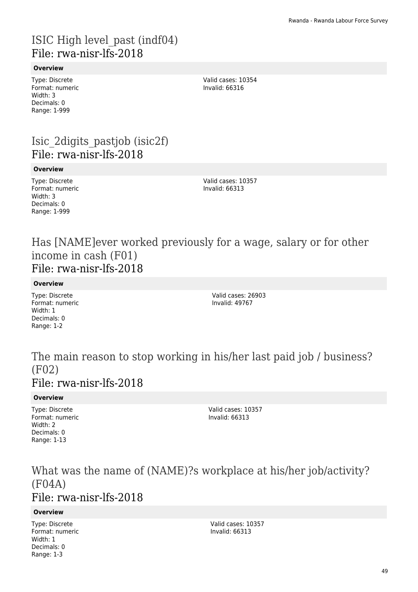# ISIC High level\_past (indf04) File: rwa-nisr-lfs-2018

### **Overview**

Type: Discrete Format: numeric Width: 3 Decimals: 0 Range: 1-999

Valid cases: 10354 Invalid: 66316

# Isic\_2digits\_pastjob (isic2f) File: rwa-nisr-lfs-2018

### **Overview**

Type: Discrete Format: numeric Width: 3 Decimals: 0 Range: 1-999

Valid cases: 10357 Invalid: 66313

Has [NAME]ever worked previously for a wage, salary or for other income in cash (F01) File: rwa-nisr-lfs-2018

### **Overview**

Type: Discrete Format: numeric Width: 1 Decimals: 0 Range: 1-2

Valid cases: 26903 Invalid: 49767

### The main reason to stop working in his/her last paid job / business? (F02) File: rwa-nisr-lfs-2018

### **Overview**

Type: Discrete Format: numeric Width: 2 Decimals: 0 Range: 1-13

Valid cases: 10357 Invalid: 66313

### What was the name of (NAME)?s workplace at his/her job/activity? (F04A) File: rwa-nisr-lfs-2018

### **Overview**

Type: Discrete Format: numeric Width: 1 Decimals: 0 Range: 1-3

Valid cases: 10357 Invalid: 66313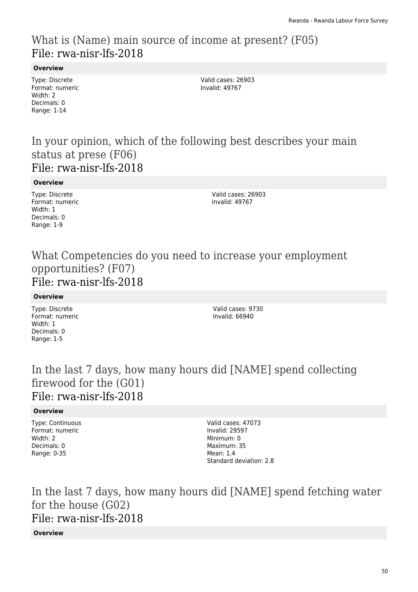# What is (Name) main source of income at present? (F05) File: rwa-nisr-lfs-2018

### **Overview**

Type: Discrete Format: numeric Width: 2 Decimals: 0 Range: 1-14

Valid cases: 26903 Invalid: 49767

### In your opinion, which of the following best describes your main status at prese (F06) File: rwa-nisr-lfs-2018

**Overview**

Type: Discrete Format: numeric Width: 1 Decimals: 0 Range: 1-9

Valid cases: 26903 Invalid: 49767

### What Competencies do you need to increase your employment opportunities? (F07) File: rwa-nisr-lfs-2018

**Overview**

Type: Discrete Format: numeric Width: 1 Decimals: 0 Range: 1-5

Valid cases: 9730 Invalid: 66940

# In the last 7 days, how many hours did [NAME] spend collecting firewood for the (G01) File: rwa-nisr-lfs-2018

### **Overview**

Type: Continuous Format: numeric Width: 2 Decimals: 0 Range: 0-35

Valid cases: 47073 Invalid: 29597 Minimum: 0 Maximum: 35 Mean: 1.4 Standard deviation: 2.8

In the last 7 days, how many hours did [NAME] spend fetching water for the house (G02) File: rwa-nisr-lfs-2018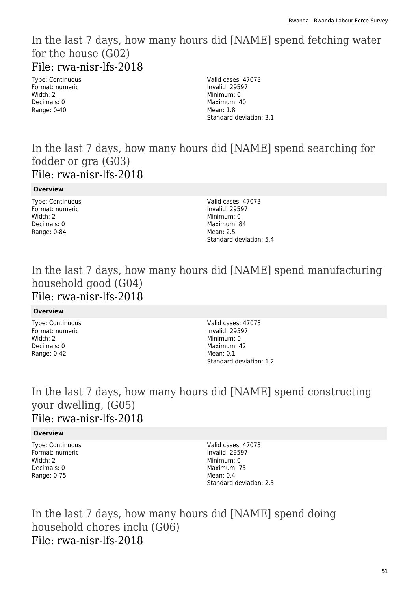### In the last 7 days, how many hours did [NAME] spend fetching water for the house (G02) File: rwa-nisr-lfs-2018

Type: Continuous Format: numeric Width: 2 Decimals: 0 Range: 0-40

Valid cases: 47073 Invalid: 29597 Minimum: 0 Maximum: 40 Mean: 1.8 Standard deviation: 3.1

### In the last 7 days, how many hours did [NAME] spend searching for fodder or gra (G03) File: rwa-nisr-lfs-2018

**Overview**

Type: Continuous Format: numeric Width: 2 Decimals: 0 Range: 0-84

Valid cases: 47073 Invalid: 29597 Minimum: 0 Maximum: 84 Mean: 2.5 Standard deviation: 5.4

# In the last 7 days, how many hours did [NAME] spend manufacturing household good (G04) File: rwa-nisr-lfs-2018

### **Overview**

Type: Continuous Format: numeric Width: 2 Decimals: 0 Range: 0-42

Valid cases: 47073 Invalid: 29597 Minimum: 0 Maximum: 42 Mean: 0.1 Standard deviation: 1.2

## In the last 7 days, how many hours did [NAME] spend constructing your dwelling, (G05) File: rwa-nisr-lfs-2018

### **Overview**

Type: Continuous Format: numeric Width: 2 Decimals: 0 Range: 0-75

Valid cases: 47073 Invalid: 29597 Minimum: 0 Maximum: 75 Mean: 0.4 Standard deviation: 2.5

In the last 7 days, how many hours did [NAME] spend doing household chores inclu (G06) File: rwa-nisr-lfs-2018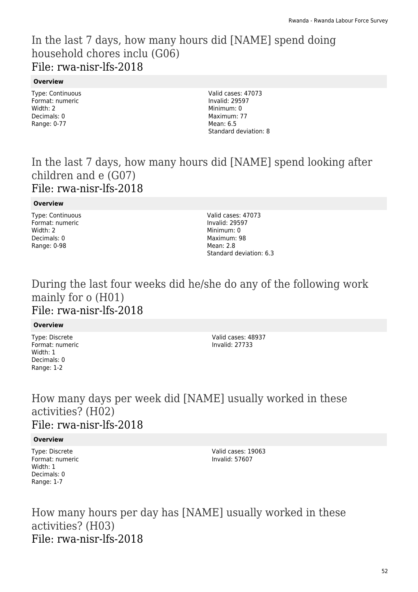# In the last 7 days, how many hours did [NAME] spend doing household chores inclu (G06) File: rwa-nisr-lfs-2018

### **Overview**

Type: Continuous Format: numeric Width: 2 Decimals: 0 Range: 0-77

Valid cases: 47073 Invalid: 29597 Minimum: 0 Maximum: 77 Mean: 6.5 Standard deviation: 8

# In the last 7 days, how many hours did [NAME] spend looking after children and e (G07) File: rwa-nisr-lfs-2018

### **Overview**

Type: Continuous Format: numeric Width: 2 Decimals: 0 Range: 0-98

Valid cases: 47073 Invalid: 29597 Minimum: 0 Maximum: 98 Mean: 2.8 Standard deviation: 6.3

### During the last four weeks did he/she do any of the following work mainly for o (H01) File: rwa-nisr-lfs-2018

### **Overview**

Type: Discrete Format: numeric Width: 1 Decimals: 0 Range: 1-2

Valid cases: 48937 Invalid: 27733

## How many days per week did [NAME] usually worked in these activities? (H02) File: rwa-nisr-lfs-2018

### **Overview**

Type: Discrete Format: numeric Width: 1 Decimals: 0 Range: 1-7

Valid cases: 19063 Invalid: 57607

How many hours per day has [NAME] usually worked in these activities? (H03) File: rwa-nisr-lfs-2018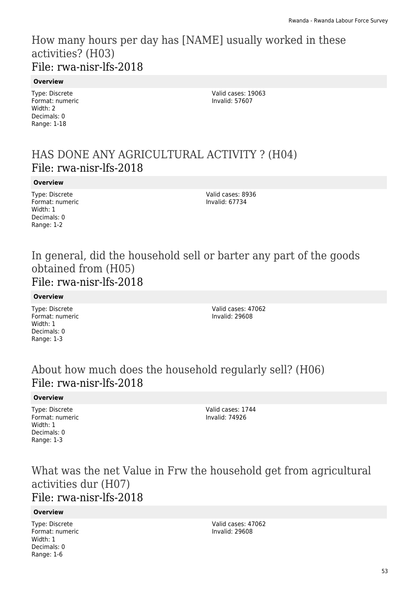# How many hours per day has [NAME] usually worked in these activities? (H03) File: rwa-nisr-lfs-2018

### **Overview**

Type: Discrete Format: numeric Width: 2 Decimals: 0 Range: 1-18

Valid cases: 19063 Invalid: 57607

# HAS DONE ANY AGRICULTURAL ACTIVITY ? (H04) File: rwa-nisr-lfs-2018

### **Overview**

Type: Discrete Format: numeric Width: 1 Decimals: 0 Range: 1-2

Valid cases: 8936 Invalid: 67734

### In general, did the household sell or barter any part of the goods obtained from (H05) File: rwa-nisr-lfs-2018

### **Overview**

Type: Discrete Format: numeric Width: 1 Decimals: 0 Range: 1-3

Valid cases: 47062 Invalid: 29608

# About how much does the household regularly sell? (H06) File: rwa-nisr-lfs-2018

### **Overview**

Type: Discrete Format: numeric Width: 1 Decimals: 0 Range: 1-3

Valid cases: 1744 Invalid: 74926

# What was the net Value in Frw the household get from agricultural activities dur (H07) File: rwa-nisr-lfs-2018

### **Overview**

Type: Discrete Format: numeric Width: 1 Decimals: 0 Range: 1-6

Valid cases: 47062 Invalid: 29608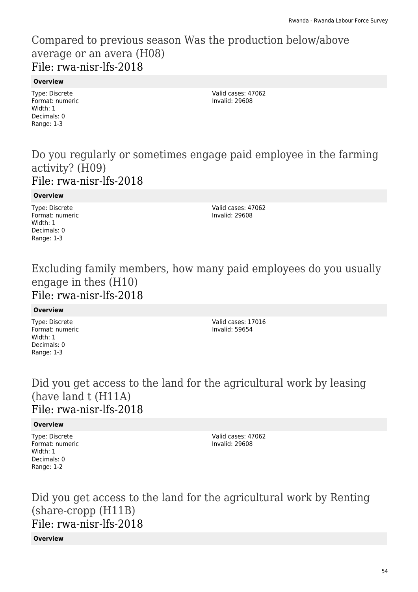# Compared to previous season Was the production below/above average or an avera (H08) File: rwa-nisr-lfs-2018

### **Overview**

Type: Discrete Format: numeric Width: 1 Decimals: 0 Range: 1-3

Valid cases: 47062 Invalid: 29608

### Do you regularly or sometimes engage paid employee in the farming activity? (H09) File: rwa-nisr-lfs-2018

### **Overview**

Type: Discrete Format: numeric Width: 1 Decimals: 0 Range: 1-3

Valid cases: 47062 Invalid: 29608

### Excluding family members, how many paid employees do you usually engage in thes (H10) File: rwa-nisr-lfs-2018

### **Overview**

Type: Discrete Format: numeric Width: 1 Decimals: 0 Range: 1-3

Valid cases: 17016 Invalid: 59654

## Did you get access to the land for the agricultural work by leasing (have land t (H11A) File: rwa-nisr-lfs-2018

### **Overview**

Type: Discrete Format: numeric Width: 1 Decimals: 0 Range: 1-2

Valid cases: 47062 Invalid: 29608

Did you get access to the land for the agricultural work by Renting (share-cropp (H11B) File: rwa-nisr-lfs-2018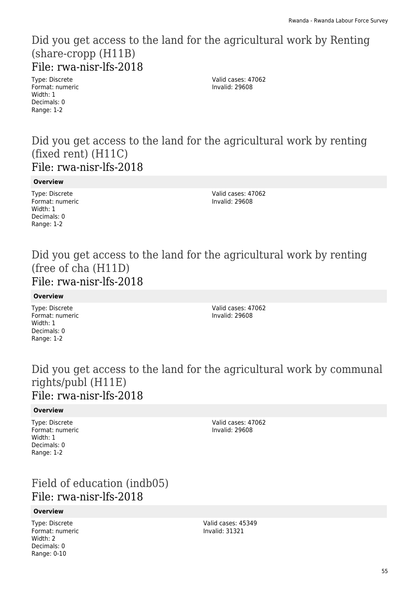### Did you get access to the land for the agricultural work by Renting (share-cropp (H11B) File: rwa-nisr-lfs-2018

Type: Discrete Format: numeric Width: 1 Decimals: 0 Range: 1-2

Valid cases: 47062 Invalid: 29608

### Did you get access to the land for the agricultural work by renting (fixed rent) (H11C) File: rwa-nisr-lfs-2018

**Overview**

Type: Discrete Format: numeric Width: 1 Decimals: 0 Range: 1-2

Valid cases: 47062 Invalid: 29608

### Did you get access to the land for the agricultural work by renting (free of cha (H11D) File: rwa-nisr-lfs-2018

**Overview**

Type: Discrete Format: numeric Width: 1 Decimals: 0 Range: 1-2

Valid cases: 47062 Invalid: 29608

## Did you get access to the land for the agricultural work by communal rights/publ (H11E) File: rwa-nisr-lfs-2018

### **Overview**

Type: Discrete Format: numeric Width: 1 Decimals: 0 Range: 1-2

Valid cases: 47062 Invalid: 29608

# Field of education (indb05) File: rwa-nisr-lfs-2018

### **Overview**

Type: Discrete Format: numeric Width: 2 Decimals: 0 Range: 0-10

Valid cases: 45349 Invalid: 31321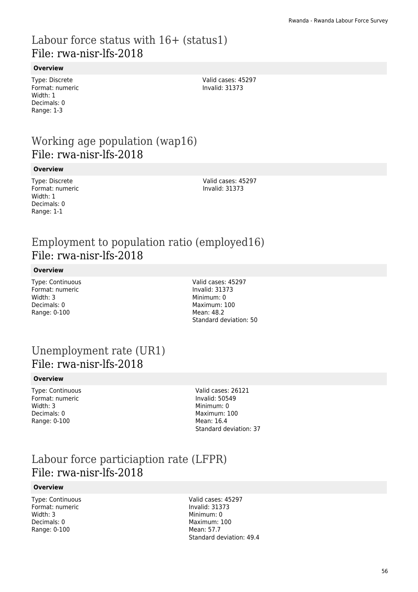# Labour force status with  $16+$  (status1) File: rwa-nisr-lfs-2018

### **Overview**

Type: Discrete Format: numeric Width: 1 Decimals: 0 Range: 1-3

Valid cases: 45297 Invalid: 31373

# Working age population (wap16) File: rwa-nisr-lfs-2018

#### **Overview**

Type: Discrete Format: numeric Width: 1 Decimals: 0 Range: 1-1

Valid cases: 45297 Invalid: 31373

# Employment to population ratio (employed16) File: rwa-nisr-lfs-2018

#### **Overview**

Type: Continuous Format: numeric Width: 3 Decimals: 0 Range: 0-100

Valid cases: 45297 Invalid: 31373 Minimum: 0 Maximum: 100 Mean: 48.2 Standard deviation: 50

### Unemployment rate (UR1) File: rwa-nisr-lfs-2018

#### **Overview**

Type: Continuous Format: numeric Width: 3 Decimals: 0 Range: 0-100

Valid cases: 26121 Invalid: 50549 Minimum: 0 Maximum: 100 Mean: 16.4 Standard deviation: 37

## Labour force particiaption rate (LFPR) File: rwa-nisr-lfs-2018

#### **Overview**

Type: Continuous Format: numeric Width: 3 Decimals: 0 Range: 0-100

Valid cases: 45297 Invalid: 31373 Minimum: 0 Maximum: 100 Mean: 57.7 Standard deviation: 49.4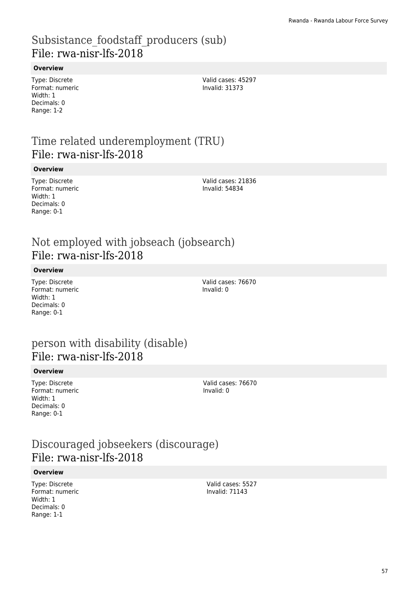# Subsistance foodstaff producers (sub) File: rwa-nisr-lfs-2018

### **Overview**

Type: Discrete Format: numeric Width: 1 Decimals: 0 Range: 1-2

Valid cases: 45297 Invalid: 31373

# Time related underemployment (TRU) File: rwa-nisr-lfs-2018

#### **Overview**

Type: Discrete Format: numeric Width: 1 Decimals: 0 Range: 0-1

Valid cases: 21836 Invalid: 54834

# Not employed with jobseach (jobsearch) File: rwa-nisr-lfs-2018

#### **Overview**

Type: Discrete Format: numeric Width: 1 Decimals: 0 Range: 0-1

Valid cases: 76670 Invalid: 0

# person with disability (disable) File: rwa-nisr-lfs-2018

#### **Overview**

Type: Discrete Format: numeric Width: 1 Decimals: 0 Range: 0-1

Valid cases: 76670 Invalid: 0

# Discouraged jobseekers (discourage) File: rwa-nisr-lfs-2018

#### **Overview**

Type: Discrete Format: numeric Width: 1 Decimals: 0 Range: 1-1

Valid cases: 5527 Invalid: 71143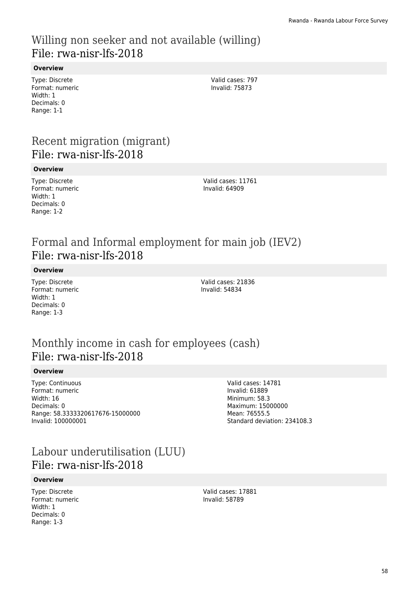# Willing non seeker and not available (willing) File: rwa-nisr-lfs-2018

### **Overview**

Type: Discrete Format: numeric Width: 1 Decimals: 0 Range: 1-1

Valid cases: 797 Invalid: 75873

# Recent migration (migrant) File: rwa-nisr-lfs-2018

#### **Overview**

Type: Discrete Format: numeric Width: 1 Decimals: 0 Range: 1-2

Valid cases: 11761 Invalid: 64909

# Formal and Informal employment for main job (IEV2) File: rwa-nisr-lfs-2018

**Overview**

Type: Discrete Format: numeric Width: 1 Decimals: 0 Range: 1-3

Valid cases: 21836 Invalid: 54834

# Monthly income in cash for employees (cash) File: rwa-nisr-lfs-2018

#### **Overview**

Type: Continuous Format: numeric Width: 16 Decimals: 0 Range: 58.3333320617676-15000000 Invalid: 100000001

Valid cases: 14781 Invalid: 61889 Minimum: 58.3 Maximum: 15000000 Mean: 76555.5 Standard deviation: 234108.3

# Labour underutilisation (LUU) File: rwa-nisr-lfs-2018

#### **Overview**

Type: Discrete Format: numeric Width: 1 Decimals: 0 Range: 1-3

Valid cases: 17881 Invalid: 58789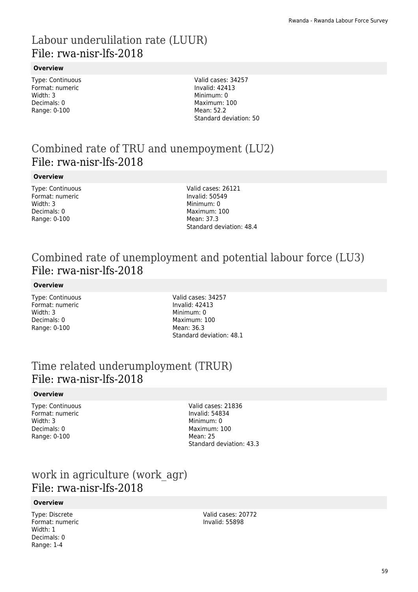# Labour underulilation rate (LUUR) File: rwa-nisr-lfs-2018

### **Overview**

Type: Continuous Format: numeric Width: 3 Decimals: 0 Range: 0-100

Valid cases: 34257 Invalid: 42413 Minimum: 0 Maximum: 100 Mean: 52.2 Standard deviation: 50

# Combined rate of TRU and unempoyment (LU2) File: rwa-nisr-lfs-2018

### **Overview**

Type: Continuous Format: numeric Width: 3 Decimals: 0 Range: 0-100

Valid cases: 26121 Invalid: 50549 Minimum: 0 Maximum: 100 Mean: 37.3 Standard deviation: 48.4

# Combined rate of unemployment and potential labour force (LU3) File: rwa-nisr-lfs-2018

### **Overview**

Type: Continuous Format: numeric Width: 3 Decimals: 0 Range: 0-100

Valid cases: 34257 Invalid: 42413 Minimum: 0 Maximum: 100 Mean: 36.3 Standard deviation: 48.1

# Time related underumployment (TRUR) File: rwa-nisr-lfs-2018

### **Overview**

Type: Continuous Format: numeric Width: 3 Decimals: 0 Range: 0-100

Valid cases: 21836 Invalid: 54834 Minimum: 0 Maximum: 100 Mean: 25 Standard deviation: 43.3

# work in agriculture (work\_agr) File: rwa-nisr-lfs-2018

### **Overview**

Type: Discrete Format: numeric Width: 1 Decimals: 0 Range: 1-4

Valid cases: 20772 Invalid: 55898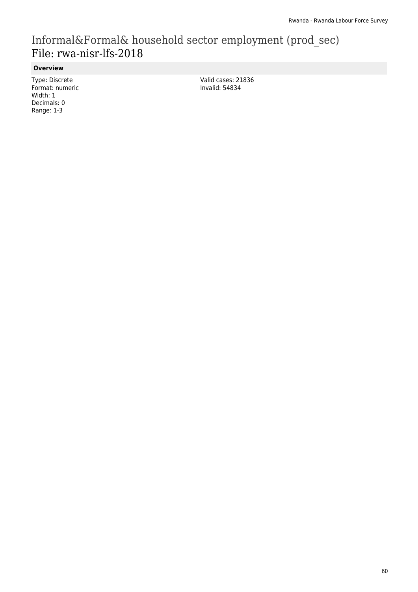# Informal&Formal& household sector employment (prod\_sec) File: rwa-nisr-lfs-2018

### **Overview**

Type: Discrete Format: numeric Width: 1 Decimals: 0 Range: 1-3

Valid cases: 21836 Invalid: 54834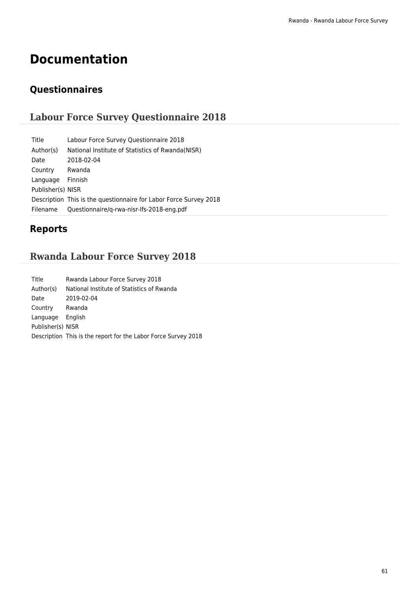# **Documentation**

# **Questionnaires**

# **Labour Force Survey Questionnaire 2018**

| Labour Force Survey Questionnaire 2018                            |
|-------------------------------------------------------------------|
| National Institute of Statistics of Rwanda (NISR)                 |
| 2018-02-04                                                        |
| Rwanda                                                            |
| Finnish                                                           |
| Publisher(s) NISR                                                 |
| Description This is the questionnaire for Labor Force Survey 2018 |
| Questionnaire/g-rwa-nisr-lfs-2018-eng.pdf                         |
|                                                                   |

# **Reports**

# **Rwanda Labour Force Survey 2018**

| Title             | Rwanda Labour Force Survey 2018                                |
|-------------------|----------------------------------------------------------------|
| Author(s)         | National Institute of Statistics of Rwanda                     |
| Date              | 2019-02-04                                                     |
| Country           | Rwanda                                                         |
| Language          | English                                                        |
| Publisher(s) NISR |                                                                |
|                   | Description This is the report for the Labor Force Survey 2018 |